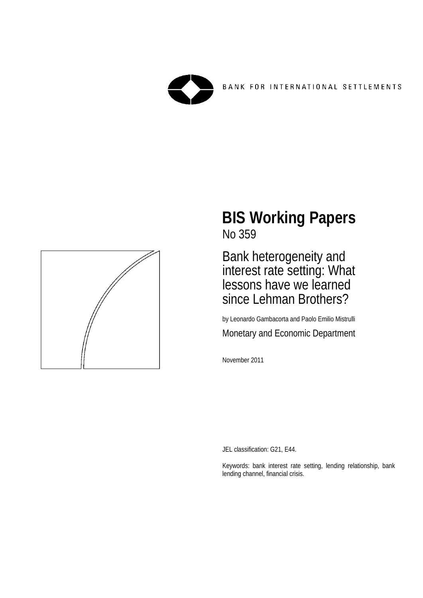

BANK FOR INTERNATIONAL SETTLEMENTS



# **BIS Working Papers** No 359

Bank heterogeneity and interest rate setting: What lessons have we learned since Lehman Brothers?

by Leonardo Gambacorta and Paolo Emilio Mistrulli Monetary and Economic Department

November 2011

JEL classification: G21, E44.

Keywords: bank interest rate setting, lending relationship, bank lending channel, financial crisis.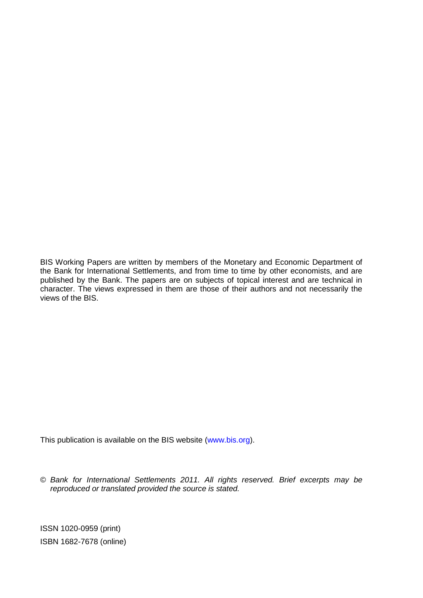BIS Working Papers are written by members of the Monetary and Economic Department of the Bank for International Settlements, and from time to time by other economists, and are published by the Bank. The papers are on subjects of topical interest and are technical in character. The views expressed in them are those of their authors and not necessarily the views of the BIS.

This publication is available on the BIS website [\(www.bis.org\)](http://www.bis.org/).

© *Bank for International Settlements 2011. All rights reserved. Brief excerpts may be reproduced or translated provided the source is stated.*

ISSN 1020-0959 (print) ISBN 1682-7678 (online)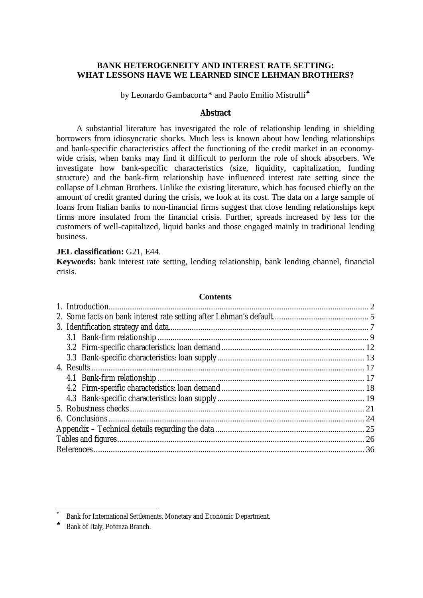#### **BANK HETEROGENEITY AND INTEREST RATE SETTING: WHAT LESSONS HAVE WE LEARNED SINCE LEHMAN BROTHERS?**

by Leonardo Gambacorta\* and Paolo Emilio Mistrulli<sup>\*</sup>

#### **Abstract**

A substantial literature has investigated the role of relationship lending in shielding borrowers from idiosyncratic shocks. Much less is known about how lending relationships and bank-specific characteristics affect the functioning of the credit market in an economywide crisis, when banks may find it difficult to perform the role of shock absorbers. We investigate how bank-specific characteristics (size, liquidity, capitalization, funding structure) and the bank-firm relationship have influenced interest rate setting since the collapse of Lehman Brothers. Unlike the existing literature, which has focused chiefly on the amount of credit granted during the crisis, we look at its cost. The data on a large sample of loans from Italian banks to non-financial firms suggest that close lending relationships kept firms more insulated from the financial crisis. Further, spreads increased by less for the customers of well-capitalized, liquid banks and those engaged mainly in traditional lending business.

#### **JEL classification:** G21, E44.

**Keywords:** bank interest rate setting, lending relationship, bank lending channel, financial crisis.

| <b>Contents</b> |  |
|-----------------|--|
|                 |  |
|                 |  |
|                 |  |
|                 |  |
|                 |  |
|                 |  |
|                 |  |
|                 |  |
|                 |  |
|                 |  |
|                 |  |
|                 |  |
|                 |  |
|                 |  |
|                 |  |
|                 |  |

 <sup>\*</sup> Bank for International Settlements, Monetary and Economic Department.

<span id="page-2-0"></span><sup>♣</sup> Bank of Italy, Potenza Branch.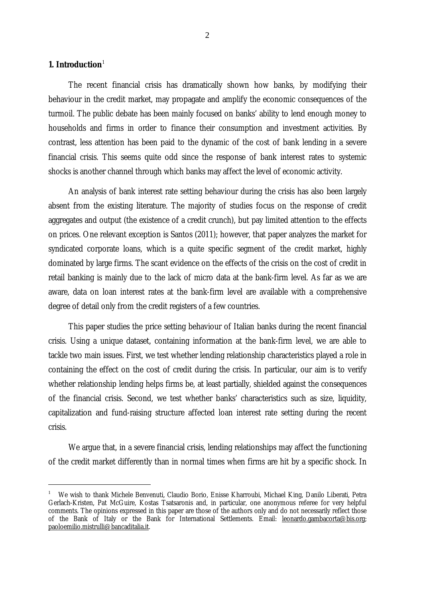#### **1. Introduction**[1](#page-3-0)

 $\overline{a}$ 

The recent financial crisis has dramatically shown how banks, by modifying their behaviour in the credit market, may propagate and amplify the economic consequences of the turmoil. The public debate has been mainly focused on banks' ability to lend enough money to households and firms in order to finance their consumption and investment activities. By contrast, less attention has been paid to the dynamic of the cost of bank lending in a severe financial crisis. This seems quite odd since the response of bank interest rates to systemic shocks is another channel through which banks may affect the level of economic activity.

An analysis of bank interest rate setting behaviour during the crisis has also been largely absent from the existing literature. The majority of studies focus on the response of credit aggregates and output (the existence of a credit crunch), but pay limited attention to the effects on prices. One relevant exception is Santos (2011); however, that paper analyzes the market for syndicated corporate loans, which is a quite specific segment of the credit market, highly dominated by large firms. The scant evidence on the effects of the crisis on the cost of credit in retail banking is mainly due to the lack of micro data at the bank-firm level. As far as we are aware, data on loan interest rates at the bank-firm level are available with a comprehensive degree of detail only from the credit registers of a few countries.

This paper studies the price setting behaviour of Italian banks during the recent financial crisis. Using a unique dataset, containing information at the bank-firm level, we are able to tackle two main issues. First, we test whether lending relationship characteristics played a role in containing the effect on the cost of credit during the crisis. In particular, our aim is to verify whether relationship lending helps firms be, at least partially, shielded against the consequences of the financial crisis. Second, we test whether banks' characteristics such as size, liquidity, capitalization and fund-raising structure affected loan interest rate setting during the recent crisis.

We argue that, in a severe financial crisis, lending relationships may affect the functioning of the credit market differently than in normal times when firms are hit by a specific shock. In

<span id="page-3-0"></span><sup>1</sup> We wish to thank Michele Benvenuti, Claudio Borio, Enisse Kharroubi, Michael King, Danilo Liberati, Petra Gerlach-Kristen, Pat McGuire, Kostas Tsatsaronis and, in particular, one anonymous referee for very helpful comments. The opinions expressed in this paper are those of the authors only and do not necessarily reflect those of the Bank of Italy or the Bank for International Settlements. Email: leonardo.gambacorta@bis.org; [paoloemilio.mistrulli@bancaditalia.it.](mailto:paoloemilio.mistrulli@bancaditalia.it)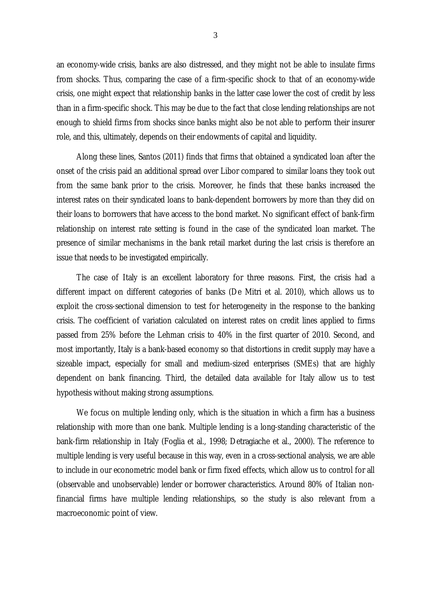an economy-wide crisis, banks are also distressed, and they might not be able to insulate firms from shocks. Thus, comparing the case of a firm-specific shock to that of an economy-wide crisis, one might expect that relationship banks in the latter case lower the cost of credit by less than in a firm-specific shock. This may be due to the fact that close lending relationships are not enough to shield firms from shocks since banks might also be not able to perform their insurer role, and this, ultimately, depends on their endowments of capital and liquidity.

Along these lines, Santos (2011) finds that firms that obtained a syndicated loan after the onset of the crisis paid an additional spread over Libor compared to similar loans they took out from the same bank prior to the crisis. Moreover, he finds that these banks increased the interest rates on their syndicated loans to bank-dependent borrowers by more than they did on their loans to borrowers that have access to the bond market. No significant effect of bank-firm relationship on interest rate setting is found in the case of the syndicated loan market. The presence of similar mechanisms in the bank retail market during the last crisis is therefore an issue that needs to be investigated empirically.

The case of Italy is an excellent laboratory for three reasons. First, the crisis had a different impact on different categories of banks (De Mitri et al. 2010), which allows us to exploit the cross-sectional dimension to test for heterogeneity in the response to the banking crisis. The coefficient of variation calculated on interest rates on credit lines applied to firms passed from 25% before the Lehman crisis to 40% in the first quarter of 2010. Second, and most importantly, Italy is a bank-based economy so that distortions in credit supply may have a sizeable impact, especially for small and medium-sized enterprises (SMEs) that are highly dependent on bank financing. Third, the detailed data available for Italy allow us to test hypothesis without making strong assumptions.

We focus on multiple lending only, which is the situation in which a firm has a business relationship with more than one bank. Multiple lending is a long-standing characteristic of the bank-firm relationship in Italy (Foglia et al., 1998; Detragiache et al., 2000). The reference to multiple lending is very useful because in this way, even in a cross-sectional analysis, we are able to include in our econometric model bank or firm fixed effects, which allow us to control for all (observable and unobservable) lender or borrower characteristics. Around 80% of Italian nonfinancial firms have multiple lending relationships, so the study is also relevant from a macroeconomic point of view.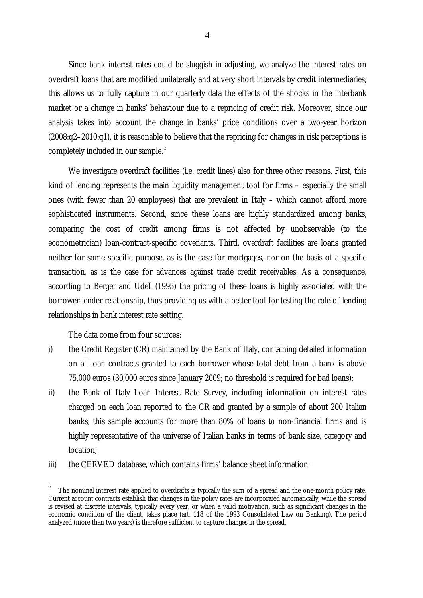Since bank interest rates could be sluggish in adjusting, we analyze the interest rates on overdraft loans that are modified unilaterally and at very short intervals by credit intermediaries; this allows us to fully capture in our quarterly data the effects of the shocks in the interbank market or a change in banks' behaviour due to a repricing of credit risk. Moreover, since our analysis takes into account the change in banks' price conditions over a two-year horizon (2008:q2–2010:q1), it is reasonable to believe that the repricing for changes in risk perceptions is completely included in our sample. [2](#page-5-0)

We investigate overdraft facilities (i.e. credit lines) also for three other reasons. First, this kind of lending represents the main liquidity management tool for firms – especially the small ones (with fewer than 20 employees) that are prevalent in Italy – which cannot afford more sophisticated instruments. Second, since these loans are highly standardized among banks, comparing the cost of credit among firms is not affected by unobservable (to the econometrician) loan-contract-specific covenants. Third, overdraft facilities are loans granted neither for some specific purpose, as is the case for mortgages, nor on the basis of a specific transaction, as is the case for advances against trade credit receivables. As a consequence, according to Berger and Udell (1995) the pricing of these loans is highly associated with the borrower-lender relationship, thus providing us with a better tool for testing the role of lending relationships in bank interest rate setting.

The data come from four sources:

- i) the Credit Register (CR) maintained by the Bank of Italy, containing detailed information on all loan contracts granted to each borrower whose total debt from a bank is above 75,000 euros (30,000 euros since January 2009; no threshold is required for bad loans);
- ii) the Bank of Italy Loan Interest Rate Survey, including information on interest rates charged on each loan reported to the CR and granted by a sample of about 200 Italian banks; this sample accounts for more than 80% of loans to non-financial firms and is highly representative of the universe of Italian banks in terms of bank size, category and location;
- iii) the CERVED database, which contains firms' balance sheet information;

<span id="page-5-0"></span>The nominal interest rate applied to overdrafts is typically the sum of a spread and the one-month policy rate. Current account contracts establish that changes in the policy rates are incorporated automatically, while the spread is revised at discrete intervals, typically every year, or when a valid motivation, such as significant changes in the economic condition of the client, takes place (art. 118 of the 1993 Consolidated Law on Banking). The period analyzed (more than two years) is therefore sufficient to capture changes in the spread.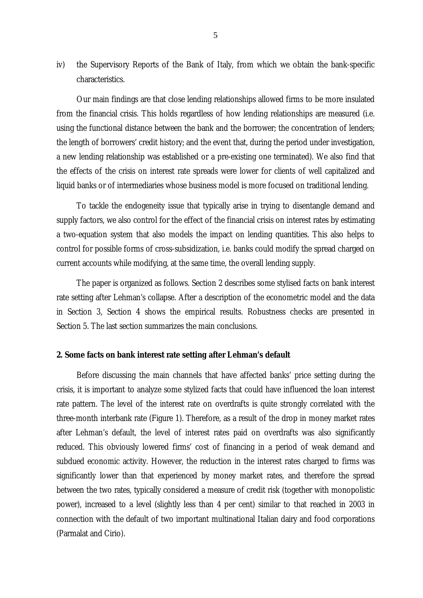iv) the Supervisory Reports of the Bank of Italy, from which we obtain the bank-specific characteristics.

Our main findings are that close lending relationships allowed firms to be more insulated from the financial crisis. This holds regardless of how lending relationships are measured (i.e. using the functional distance between the bank and the borrower; the concentration of lenders; the length of borrowers' credit history; and the event that, during the period under investigation, a new lending relationship was established or a pre-existing one terminated). We also find that the effects of the crisis on interest rate spreads were lower for clients of well capitalized and liquid banks or of intermediaries whose business model is more focused on traditional lending.

To tackle the endogeneity issue that typically arise in trying to disentangle demand and supply factors, we also control for the effect of the financial crisis on interest rates by estimating a two-equation system that also models the impact on lending quantities. This also helps to control for possible forms of cross-subsidization, i.e. banks could modify the spread charged on current accounts while modifying, at the same time, the overall lending supply.

The paper is organized as follows. Section 2 describes some stylised facts on bank interest rate setting after Lehman's collapse. After a description of the econometric model and the data in Section 3, Section 4 shows the empirical results. Robustness checks are presented in Section 5. The last section summarizes the main conclusions.

#### **2. Some facts on bank interest rate setting after Lehman's default**

Before discussing the main channels that have affected banks' price setting during the crisis, it is important to analyze some stylized facts that could have influenced the loan interest rate pattern. The level of the interest rate on overdrafts is quite strongly correlated with the three-month interbank rate (Figure 1). Therefore, as a result of the drop in money market rates after Lehman's default, the level of interest rates paid on overdrafts was also significantly reduced. This obviously lowered firms' cost of financing in a period of weak demand and subdued economic activity. However, the reduction in the interest rates charged to firms was significantly lower than that experienced by money market rates, and therefore the spread between the two rates, typically considered a measure of credit risk (together with monopolistic power), increased to a level (slightly less than 4 per cent) similar to that reached in 2003 in connection with the default of two important [multinational](http://en.wikipedia.org/wiki/Multinational_corporation) [Italian](http://en.wikipedia.org/wiki/Italy) [dairy](http://en.wikipedia.org/wiki/Dairy) and food corporations (Parmalat and Cirio).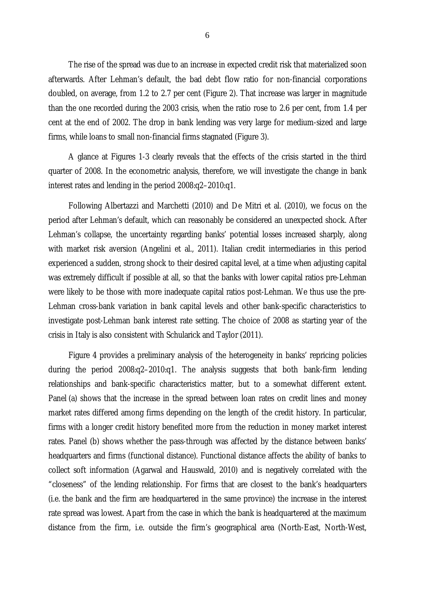The rise of the spread was due to an increase in expected credit risk that materialized soon afterwards. After Lehman's default, the bad debt flow ratio for non-financial corporations doubled, on average, from 1.2 to 2.7 per cent (Figure 2). That increase was larger in magnitude than the one recorded during the 2003 crisis, when the ratio rose to 2.6 per cent, from 1.4 per cent at the end of 2002. The drop in bank lending was very large for medium-sized and large firms, while loans to small non-financial firms stagnated (Figure 3).

A glance at Figures 1-3 clearly reveals that the effects of the crisis started in the third quarter of 2008. In the econometric analysis, therefore, we will investigate the change in bank interest rates and lending in the period 2008:q2–2010:q1.

Following Albertazzi and Marchetti (2010) and De Mitri et al. (2010), we focus on the period after Lehman's default, which can reasonably be considered an unexpected shock. After Lehman's collapse, the uncertainty regarding banks' potential losses increased sharply, along with market risk aversion (Angelini et al., 2011). Italian credit intermediaries in this period experienced a sudden, strong shock to their desired capital level, at a time when adjusting capital was extremely difficult if possible at all, so that the banks with lower capital ratios pre-Lehman were likely to be those with more inadequate capital ratios post-Lehman. We thus use the pre-Lehman cross-bank variation in bank capital levels and other bank-specific characteristics to investigate post-Lehman bank interest rate setting. The choice of 2008 as starting year of the crisis in Italy is also consistent with Schularick and Taylor (2011).

Figure 4 provides a preliminary analysis of the heterogeneity in banks' repricing policies during the period 2008:q2–2010:q1. The analysis suggests that both bank-firm lending relationships and bank-specific characteristics matter, but to a somewhat different extent. Panel (a) shows that the increase in the spread between loan rates on credit lines and money market rates differed among firms depending on the length of the credit history. In particular, firms with a longer credit history benefited more from the reduction in money market interest rates. Panel (b) shows whether the pass-through was affected by the distance between banks' headquarters and firms (functional distance). Functional distance affects the ability of banks to collect soft information (Agarwal and Hauswald, 2010) and is negatively correlated with the "closeness" of the lending relationship. For firms that are closest to the bank's headquarters (i.e. the bank and the firm are headquartered in the same province) the increase in the interest rate spread was lowest. Apart from the case in which the bank is headquartered at the maximum distance from the firm, i.e. outside the firm's geographical area (North-East, North-West,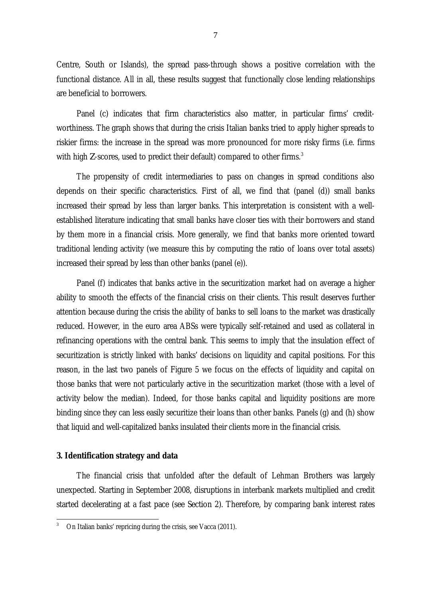Centre, South or Islands), the spread pass-through shows a positive correlation with the functional distance. All in all, these results suggest that functionally close lending relationships are beneficial to borrowers.

Panel (c) indicates that firm characteristics also matter, in particular firms' creditworthiness. The graph shows that during the crisis Italian banks tried to apply higher spreads to riskier firms: the increase in the spread was more pronounced for more risky firms (i.e. firms with high *Z*-scores, used to predict their default) compared to other firms.<sup>[3](#page-8-0)</sup>

The propensity of credit intermediaries to pass on changes in spread conditions also depends on their specific characteristics. First of all, we find that (panel (d)) small banks increased their spread by less than larger banks. This interpretation is consistent with a wellestablished literature indicating that small banks have closer ties with their borrowers and stand by them more in a financial crisis. More generally, we find that banks more oriented toward traditional lending activity (we measure this by computing the ratio of loans over total assets) increased their spread by less than other banks (panel (e)).

Panel (f) indicates that banks active in the securitization market had on average a higher ability to smooth the effects of the financial crisis on their clients. This result deserves further attention because during the crisis the ability of banks to sell loans to the market was drastically reduced. However, in the euro area ABSs were typically self-retained and used as collateral in refinancing operations with the central bank. This seems to imply that the insulation effect of securitization is strictly linked with banks' decisions on liquidity and capital positions. For this reason, in the last two panels of Figure 5 we focus on the effects of liquidity and capital on those banks that were not particularly active in the securitization market (those with a level of activity below the median). Indeed, for those banks capital and liquidity positions are more binding since they can less easily securitize their loans than other banks. Panels (g) and (h) show that liquid and well-capitalized banks insulated their clients more in the financial crisis.

#### **3. Identification strategy and data**

The financial crisis that unfolded after the default of Lehman Brothers was largely unexpected. Starting in September 2008, disruptions in interbank markets multiplied and credit started decelerating at a fast pace (see Section 2). Therefore, by comparing bank interest rates

<span id="page-8-0"></span><sup>&</sup>lt;sup>3</sup> On Italian banks' repricing during the crisis, see Vacca (2011).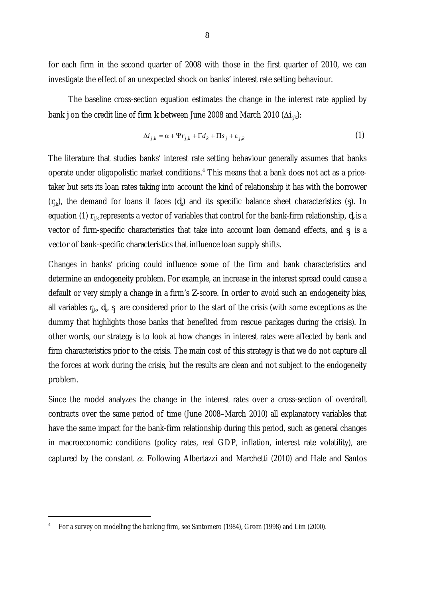for each firm in the second quarter of 2008 with those in the first quarter of 2010, we can investigate the effect of an unexpected shock on banks' interest rate setting behaviour.

The baseline cross-section equation estimates the change in the interest rate applied by bank *j* on the credit line of firm *k* between June 2008 and March 2010 ( $\Delta i_{jk}$ ):

$$
\Delta i_{j,k} = \alpha + \Psi r_{j,k} + \Gamma d_k + \Pi s_j + \varepsilon_{j,k} \tag{1}
$$

The literature that studies banks' interest rate setting behaviour generally assumes that banks operate under oligopolistic market conditions.[4](#page-9-0) This means that a bank does not act as a pricetaker but sets its loan rates taking into account the kind of relationship it has with the borrower  $(r_{j,k})$ , the demand for loans it faces  $(d_k)$  and its specific balance sheet characteristics  $(s_j)$ . In equation (1)  $r_{ik}$  represents a vector of variables that control for the bank-firm relationship,  $d_k$  is a vector of firm-specific characteristics that take into account loan demand effects, and  $s_i$  is a vector of bank-specific characteristics that influence loan supply shifts.

Changes in banks' pricing could influence some of the firm and bank characteristics and determine an endogeneity problem. For example, an increase in the interest spread could cause a default or very simply a change in a firm's *Z*-score. In order to avoid such an endogeneity bias, all variables  $r_{j,k}$ ,  $d_k$ ,  $s_j$  are considered prior to the start of the crisis (with some exceptions as the dummy that highlights those banks that benefited from rescue packages during the crisis). In other words, our strategy is to look at how changes in interest rates were affected by bank and firm characteristics prior to the crisis. The main cost of this strategy is that we do not capture all the forces at work during the crisis, but the results are clean and not subject to the endogeneity problem.

Since the model analyzes the change in the interest rates over a cross-section of overdraft contracts over the same period of time (June 2008–March 2010) all explanatory variables that have the same impact for the bank-firm relationship during this period, such as general changes in macroeconomic conditions (policy rates, real GDP, inflation, interest rate volatility), are captured by the constant  $\alpha$ . Following Albertazzi and Marchetti (2010) and Hale and Santos

 $\overline{a}$ 

<span id="page-9-0"></span><sup>4</sup> For a survey on modelling the banking firm, see Santomero (1984), Green (1998) and Lim (2000).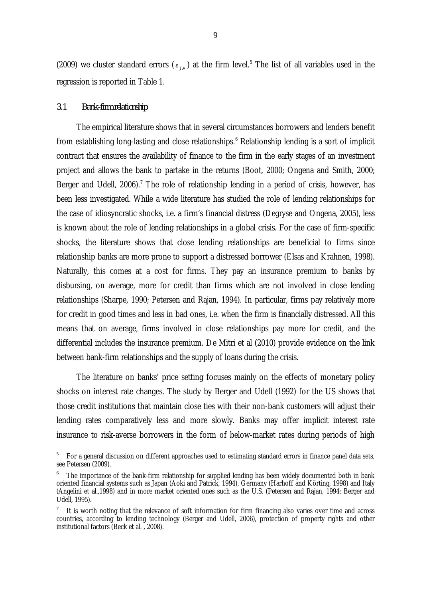(2009) we cluster standard errors ( $\varepsilon_{j,k}$ ) at the firm level.<sup>[5](#page-10-0)</sup> The list of all variables used in the regression is reported in Table 1.

#### *3.1 Bank-firm relationship*

-

The empirical literature shows that in several circumstances borrowers and lenders benefit from establishing long-lasting and close relationships.<sup>[6](#page-10-1)</sup> Relationship lending is a sort of implicit contract that ensures the availability of finance to the firm in the early stages of an investment project and allows the bank to partake in the returns (Boot, 2000; Ongena and Smith, 2000; Berger and Udell,  $2006$ ).<sup>[7](#page-10-2)</sup> The role of relationship lending in a period of crisis, however, has been less investigated. While a wide literature has studied the role of lending relationships for the case of idiosyncratic shocks, i.e. a firm's financial distress (Degryse and Ongena, 2005), less is known about the role of lending relationships in a global crisis. For the case of firm-specific shocks, the literature shows that close lending relationships are beneficial to firms since relationship banks are more prone to support a distressed borrower (Elsas and Krahnen, 1998). Naturally, this comes at a cost for firms. They pay an insurance premium to banks by disbursing, on average, more for credit than firms which are not involved in close lending relationships (Sharpe, 1990; Petersen and Rajan, 1994). In particular, firms pay relatively more for credit in good times and less in bad ones, i.e. when the firm is financially distressed. All this means that on average, firms involved in close relationships pay more for credit, and the differential includes the insurance premium. De Mitri et al (2010) provide evidence on the link between bank-firm relationships and the supply of loans during the crisis.

The literature on banks' price setting focuses mainly on the effects of monetary policy shocks on interest rate changes. The study by Berger and Udell (1992) for the US shows that those credit institutions that maintain close ties with their non-bank customers will adjust their lending rates comparatively less and more slowly. Banks may offer implicit interest rate insurance to risk-averse borrowers in the form of below-market rates during periods of high

<span id="page-10-0"></span><sup>5</sup> For a general discussion on different approaches used to estimating standard errors in finance panel data sets, see Petersen (2009).

<span id="page-10-1"></span>The importance of the bank-firm relationship for supplied lending has been widely documented both in bank oriented financial systems such as Japan (Aoki and Patrick, 1994), Germany (Harhoff and Körting, 1998) and Italy (Angelini et al.,1998) and in more market oriented ones such as the U.S. (Petersen and Rajan, 1994; Berger and Udell, 1995).

<span id="page-10-2"></span>It is worth noting that the relevance of soft information for firm financing also varies over time and across countries, according to lending technology (Berger and Udell, 2006), protection of property rights and other institutional factors (Beck et al. , 2008).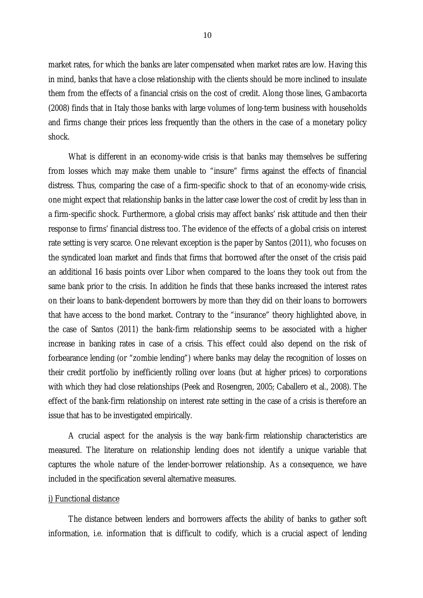market rates, for which the banks are later compensated when market rates are low. Having this in mind, banks that have a close relationship with the clients should be more inclined to insulate them from the effects of a financial crisis on the cost of credit. Along those lines, Gambacorta (2008) finds that in Italy those banks with large volumes of long-term business with households and firms change their prices less frequently than the others in the case of a monetary policy shock.

What is different in an economy-wide crisis is that banks may themselves be suffering from losses which may make them unable to "insure" firms against the effects of financial distress. Thus, comparing the case of a firm-specific shock to that of an economy-wide crisis, one might expect that relationship banks in the latter case lower the cost of credit by less than in a firm-specific shock. Furthermore, a global crisis may affect banks' risk attitude and then their response to firms' financial distress too. The evidence of the effects of a global crisis on interest rate setting is very scarce. One relevant exception is the paper by Santos (2011), who focuses on the syndicated loan market and finds that firms that borrowed after the onset of the crisis paid an additional 16 basis points over Libor when compared to the loans they took out from the same bank prior to the crisis. In addition he finds that these banks increased the interest rates on their loans to bank-dependent borrowers by more than they did on their loans to borrowers that have access to the bond market. Contrary to the "insurance" theory highlighted above, in the case of Santos (2011) the bank-firm relationship seems to be associated with a higher increase in banking rates in case of a crisis. This effect could also depend on the risk of forbearance lending (or "zombie lending") where banks may delay the recognition of losses on their credit portfolio by inefficiently rolling over loans (but at higher prices) to corporations with which they had close relationships (Peek and Rosengren, 2005; Caballero et al., 2008). The effect of the bank-firm relationship on interest rate setting in the case of a crisis is therefore an issue that has to be investigated empirically.

A crucial aspect for the analysis is the way bank-firm relationship characteristics are measured. The literature on relationship lending does not identify a unique variable that captures the whole nature of the lender-borrower relationship. As a consequence, we have included in the specification several alternative measures.

#### i) Functional distance

The distance between lenders and borrowers affects the ability of banks to gather soft information, i.e. information that is difficult to codify, which is a crucial aspect of lending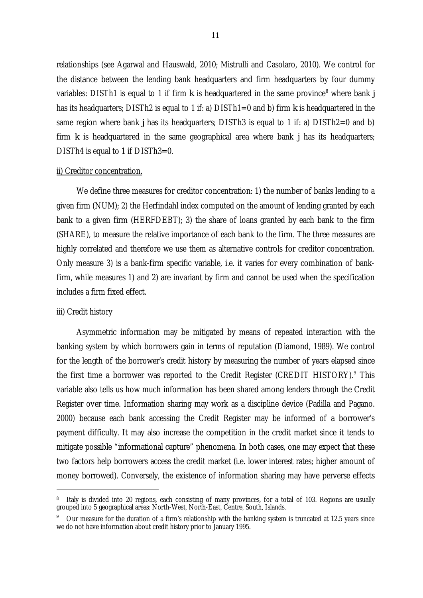relationships (see Agarwal and Hauswald, 2010; Mistrulli and Casolaro, 2010). We control for the distance between the lending bank headquarters and firm headquarters by four dummy variables: DISTh1 is equal to 1 if firm  $k$  is headquartered in the same province<sup>[8](#page-12-0)</sup> where bank  $j$ has its headquarters; DISTh2 is equal to 1 if: a) DISTh1=0 and b) firm *k* is headquartered in the same region where bank *j* has its headquarters; DISTh3 is equal to 1 if: a) DISTh2=0 and b) firm *k* is headquartered in the same geographical area where bank *j* has its headquarters; DISTh4 is equal to 1 if DISTh3=0.

#### ii) Creditor concentration.

We define three measures for creditor concentration: 1) the number of banks lending to a given firm (NUM); 2) the Herfindahl index computed on the amount of lending granted by each bank to a given firm (HERFDEBT); 3) the share of loans granted by each bank to the firm (SHARE), to measure the relative importance of each bank to the firm. The three measures are highly correlated and therefore we use them as alternative controls for creditor concentration. Only measure 3) is a bank-firm specific variable, i.e. it varies for every combination of bankfirm, while measures 1) and 2) are invariant by firm and cannot be used when the specification includes a firm fixed effect.

#### iii) Credit history

j

Asymmetric information may be mitigated by means of repeated interaction with the banking system by which borrowers gain in terms of reputation (Diamond, 1989). We control for the length of the borrower's credit history by measuring the number of years elapsed since the first time a borrower was reported to the Credit Register (CREDIT HISTORY).<sup>[9](#page-12-1)</sup> This variable also tells us how much information has been shared among lenders through the Credit Register over time. Information sharing may work as a discipline device (Padilla and Pagano. 2000) because each bank accessing the Credit Register may be informed of a borrower's payment difficulty. It may also increase the competition in the credit market since it tends to mitigate possible "informational capture" phenomena. In both cases, one may expect that these two factors help borrowers access the credit market (i.e. lower interest rates; higher amount of money borrowed). Conversely, the existence of information sharing may have perverse effects

<span id="page-12-0"></span>Italy is divided into 20 regions, each consisting of many provinces, for a total of 103. Regions are usually grouped into 5 geographical areas: North-West, North-East, Centre, South, Islands.

<span id="page-12-1"></span><sup>9</sup> Our measure for the duration of a firm's relationship with the banking system is truncated at 12.5 years since we do not have information about credit history prior to January 1995.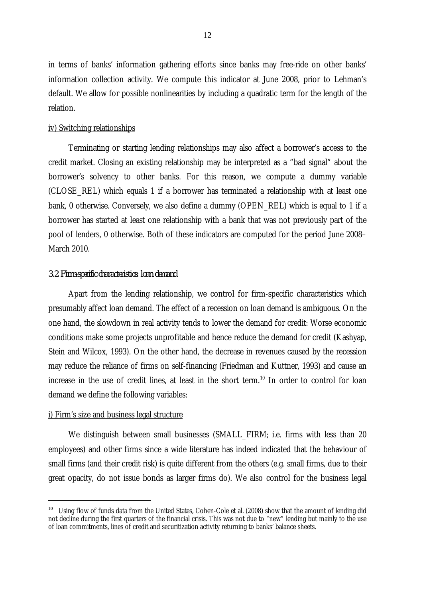in terms of banks' information gathering efforts since banks may free-ride on other banks' information collection activity. We compute this indicator at June 2008, prior to Lehman's default. We allow for possible nonlinearities by including a quadratic term for the length of the relation.

#### iv) Switching relationships

Terminating or starting lending relationships may also affect a borrower's access to the credit market. Closing an existing relationship may be interpreted as a "bad signal" about the borrower's solvency to other banks. For this reason, we compute a dummy variable (CLOSE\_REL) which equals 1 if a borrower has terminated a relationship with at least one bank, 0 otherwise. Conversely, we also define a dummy (OPEN\_REL) which is equal to 1 if a borrower has started at least one relationship with a bank that was not previously part of the pool of lenders, 0 otherwise. Both of these indicators are computed for the period June 2008– March 2010.

#### *3.2 Firm-specific characteristics: loan demand*

Apart from the lending relationship, we control for firm-specific characteristics which presumably affect loan demand. The effect of a recession on loan demand is ambiguous. On the one hand, the slowdown in real activity tends to lower the demand for credit: Worse economic conditions make some projects unprofitable and hence reduce the demand for credit (Kashyap, Stein and Wilcox, 1993). On the other hand, the decrease in revenues caused by the recession may reduce the reliance of firms on self-financing (Friedman and Kuttner, 1993) and cause an increase in the use of credit lines, at least in the short term.<sup>[10](#page-13-0)</sup> In order to control for loan demand we define the following variables:

#### i) Firm's size and business legal structure

 $\overline{a}$ 

We distinguish between small businesses (SMALL\_FIRM; i.e. firms with less than 20 employees) and other firms since a wide literature has indeed indicated that the behaviour of small firms (and their credit risk) is quite different from the others (e.g. small firms, due to their great opacity, do not issue bonds as larger firms do). We also control for the business legal

<span id="page-13-0"></span><sup>&</sup>lt;sup>10</sup> Using flow of funds data from the United States, Cohen-Cole et al. (2008) show that the amount of lending did not decline during the first quarters of the financial crisis. This was not due to "new" lending but mainly to the use of loan commitments, lines of credit and securitization activity returning to banks' balance sheets.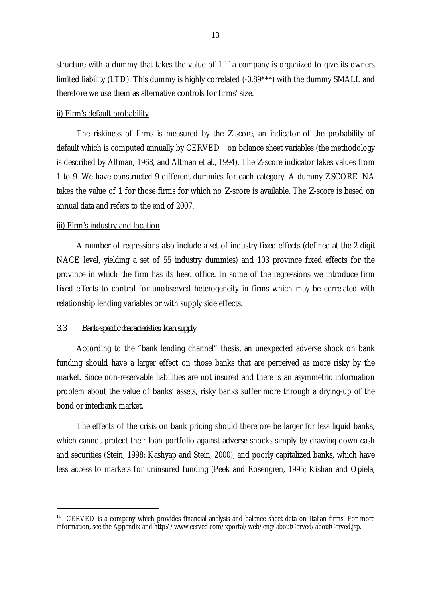structure with a dummy that takes the value of 1 if a company is organized to give its owners limited liability (LTD). This dummy is highly correlated (-0.89\*\*\*) with the dummy SMALL and therefore we use them as alternative controls for firms' size.

#### ii) Firm's default probability

The riskiness of firms is measured by the *Z*-score, an indicator of the probability of default which is computed annually by  $CERVED<sup>11</sup>$  $CERVED<sup>11</sup>$  $CERVED<sup>11</sup>$  on balance sheet variables (the methodology is described by Altman, 1968, and Altman et al., 1994). The *Z*-score indicator takes values from 1 to 9. We have constructed 9 different dummies for each category. A dummy ZSCORE\_NA takes the value of 1 for those firms for which no *Z*-score is available. The *Z*-score is based on annual data and refers to the end of 2007.

#### iii) Firm's industry and location

A number of regressions also include a set of industry fixed effects (defined at the 2 digit NACE level, yielding a set of 55 industry dummies) and 103 province fixed effects for the province in which the firm has its head office. In some of the regressions we introduce firm fixed effects to control for unobserved heterogeneity in firms which may be correlated with relationship lending variables or with supply side effects.

#### *3.3 Bank-specific characteristics: loan supply*

-

According to the "bank lending channel" thesis, an unexpected adverse shock on bank funding should have a larger effect on those banks that are perceived as more risky by the market. Since non-reservable liabilities are not insured and there is an asymmetric information problem about the value of banks' assets, risky banks suffer more through a drying-up of the bond or interbank market.

The effects of the crisis on bank pricing should therefore be larger for less liquid banks, which cannot protect their loan portfolio against adverse shocks simply by drawing down cash and securities (Stein, 1998; Kashyap and Stein, 2000), and poorly capitalized banks, which have less access to markets for uninsured funding (Peek and Rosengren, 1995; Kishan and Opiela,

<span id="page-14-0"></span><sup>&</sup>lt;sup>11</sup> CERVED is a company which provides financial analysis and balance sheet data on Italian firms. For more information, see the Appendix and http://www.cerved.com/xportal/web/eng/aboutCerved/aboutCerved.jsp.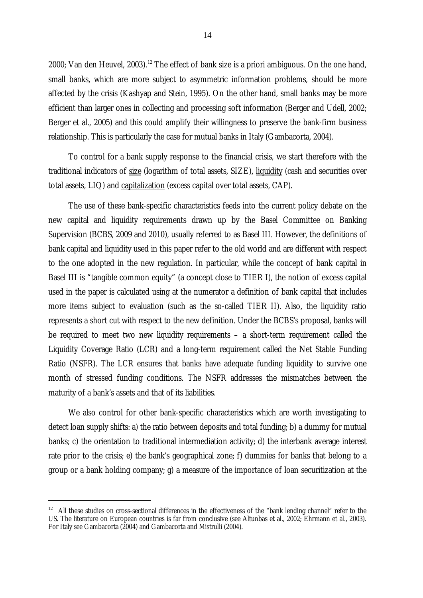2000; Van den Heuvel, 2003).<sup>[12](#page-15-0)</sup> The effect of bank size is a priori ambiguous. On the one hand, small banks, which are more subject to asymmetric information problems, should be more affected by the crisis (Kashyap and Stein, 1995). On the other hand, small banks may be more efficient than larger ones in collecting and processing soft information (Berger and Udell, 2002; Berger et al., 2005) and this could amplify their willingness to preserve the bank-firm business relationship. This is particularly the case for mutual banks in Italy (Gambacorta, 2004).

To control for a bank supply response to the financial crisis, we start therefore with the traditional indicators of size (logarithm of total assets, SIZE), liquidity (cash and securities over total assets, LIQ) and capitalization (excess capital over total assets, CAP).

The use of these bank-specific characteristics feeds into the current policy debate on the new capital and liquidity requirements drawn up by the Basel Committee on Banking Supervision (BCBS, 2009 and 2010), usually referred to as Basel III. However, the definitions of bank capital and liquidity used in this paper refer to the old world and are different with respect to the one adopted in the new regulation. In particular, while the concept of bank capital in Basel III is "tangible common equity" (a concept close to TIER I), the notion of excess capital used in the paper is calculated using at the numerator a definition of bank capital that includes more items subject to evaluation (such as the so-called TIER II). Also, the liquidity ratio represents a short cut with respect to the new definition. Under the BCBS's proposal, banks will be required to meet two new liquidity requirements – a short-term requirement called the Liquidity Coverage Ratio (LCR) and a long-term requirement called the Net Stable Funding Ratio (NSFR). The LCR ensures that banks have adequate funding liquidity to survive one month of stressed funding conditions. The NSFR addresses the mismatches between the maturity of a bank's assets and that of its liabilities.

We also control for other bank-specific characteristics which are worth investigating to detect loan supply shifts: a) the ratio between deposits and total funding; b) a dummy for mutual banks; c) the orientation to traditional intermediation activity; d) the interbank average interest rate prior to the crisis; e) the bank's geographical zone; f) dummies for banks that belong to a group or a bank holding company; g) a measure of the importance of loan securitization at the

 $\overline{a}$ 

<span id="page-15-0"></span><sup>&</sup>lt;sup>12</sup> All these studies on cross-sectional differences in the effectiveness of the "bank lending channel" refer to the US. The literature on European countries is far from conclusive (see Altunbas et al., 2002; Ehrmann et al., 2003). For Italy see Gambacorta (2004) and Gambacorta and Mistrulli (2004).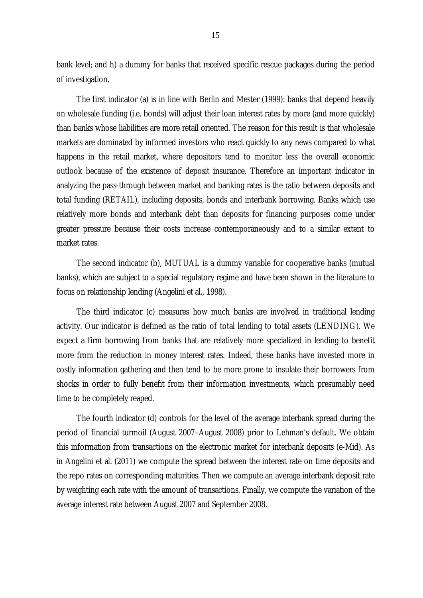bank level; and h) a dummy for banks that received specific rescue packages during the period of investigation.

The first indicator (a) is in line with Berlin and Mester (1999): banks that depend heavily on wholesale funding (i.e. bonds) will adjust their loan interest rates by more (and more quickly) than banks whose liabilities are more retail oriented. The reason for this result is that wholesale markets are dominated by informed investors who react quickly to any news compared to what happens in the retail market, where depositors tend to monitor less the overall economic outlook because of the existence of deposit insurance. Therefore an important indicator in analyzing the pass-through between market and banking rates is the ratio between deposits and total funding (RETAIL), including deposits, bonds and interbank borrowing. Banks which use relatively more bonds and interbank debt than deposits for financing purposes come under greater pressure because their costs increase contemporaneously and to a similar extent to market rates.

The second indicator (b), MUTUAL is a dummy variable for cooperative banks (mutual banks), which are subject to a special regulatory regime and have been shown in the literature to focus on relationship lending (Angelini et al., 1998).

The third indicator (c) measures how much banks are involved in traditional lending activity. Our indicator is defined as the ratio of total lending to total assets (LENDING). We expect a firm borrowing from banks that are relatively more specialized in lending to benefit more from the reduction in money interest rates. Indeed, these banks have invested more in costly information gathering and then tend to be more prone to insulate their borrowers from shocks in order to fully benefit from their information investments, which presumably need time to be completely reaped.

The fourth indicator (d) controls for the level of the average interbank spread during the period of financial turmoil (August 2007–August 2008) prior to Lehman's default. We obtain this information from transactions on the electronic market for interbank deposits (e-Mid). As in Angelini et al. (2011) we compute the spread between the interest rate on time deposits and the repo rates on corresponding maturities. Then we compute an average interbank deposit rate by weighting each rate with the amount of transactions. Finally, we compute the variation of the average interest rate between August 2007 and September 2008.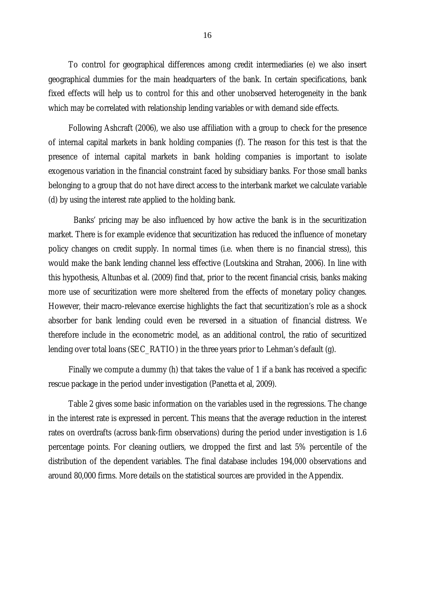To control for geographical differences among credit intermediaries (e) we also insert geographical dummies for the main headquarters of the bank. In certain specifications, bank fixed effects will help us to control for this and other unobserved heterogeneity in the bank which may be correlated with relationship lending variables or with demand side effects.

Following Ashcraft (2006), we also use affiliation with a group to check for the presence of internal capital markets in bank holding companies (f). The reason for this test is that the presence of internal capital markets in bank holding companies is important to isolate exogenous variation in the financial constraint faced by subsidiary banks. For those small banks belonging to a group that do not have direct access to the interbank market we calculate variable (d) by using the interest rate applied to the holding bank.

Banks' pricing may be also influenced by how active the bank is in the securitization market. There is for example evidence that securitization has reduced the influence of monetary policy changes on credit supply. In normal times (i.e. when there is no financial stress), this would make the bank lending channel less effective (Loutskina and Strahan, 2006). In line with this hypothesis, Altunbas et al. (2009) find that, prior to the recent financial crisis, banks making more use of securitization were more sheltered from the effects of monetary policy changes. However, their macro-relevance exercise highlights the fact that securitization's role as a shock absorber for bank lending could even be reversed in a situation of financial distress. We therefore include in the econometric model, as an additional control, the ratio of securitized lending over total loans (SEC\_RATIO) in the three years prior to Lehman's default (g).

Finally we compute a dummy (h) that takes the value of 1 if a bank has received a specific rescue package in the period under investigation (Panetta et al, 2009).

Table 2 gives some basic information on the variables used in the regressions. The change in the interest rate is expressed in percent. This means that the average reduction in the interest rates on overdrafts (across bank-firm observations) during the period under investigation is 1.6 percentage points. For cleaning outliers, we dropped the first and last 5% percentile of the distribution of the dependent variables. The final database includes 194,000 observations and around 80,000 firms. More details on the statistical sources are provided in the Appendix.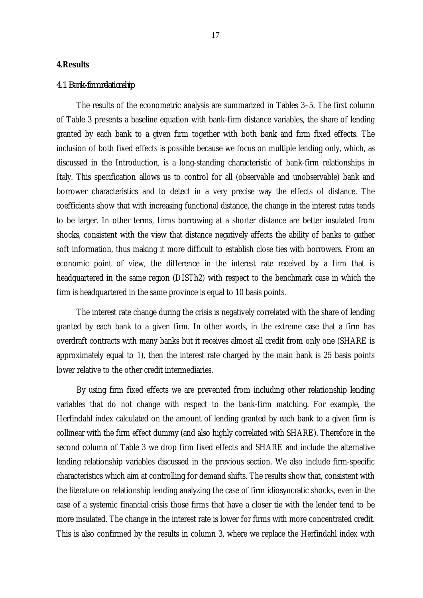#### **4.Results**

#### *4.1 Bank-firm relationship*

The results of the econometric analysis are summarized in Tables 3–5. The first column of Table 3 presents a baseline equation with bank-firm distance variables, the share of lending granted by each bank to a given firm together with both bank and firm fixed effects. The inclusion of both fixed effects is possible because we focus on multiple lending only, which, as discussed in the Introduction, is a long-standing characteristic of bank-firm relationships in Italy. This specification allows us to control for all (observable and unobservable) bank and borrower characteristics and to detect in a very precise way the effects of distance. The coefficients show that with increasing functional distance, the change in the interest rates tends to be larger. In other terms, firms borrowing at a shorter distance are better insulated from shocks, consistent with the view that distance negatively affects the ability of banks to gather soft information, thus making it more difficult to establish close ties with borrowers. From an economic point of view, the difference in the interest rate received by a firm that is headquartered in the same region (DISTh2) with respect to the benchmark case in which the firm is headquartered in the same province is equal to 10 basis points.

The interest rate change during the crisis is negatively correlated with the share of lending granted by each bank to a given firm. In other words, in the extreme case that a firm has overdraft contracts with many banks but it receives almost all credit from only one (SHARE is approximately equal to 1), then the interest rate charged by the main bank is 25 basis points lower relative to the other credit intermediaries.

By using firm fixed effects we are prevented from including other relationship lending variables that do not change with respect to the bank-firm matching. For example, the Herfindahl index calculated on the amount of lending granted by each bank to a given firm is collinear with the firm effect dummy (and also highly correlated with SHARE). Therefore in the second column of Table 3 we drop firm fixed effects and SHARE and include the alternative lending relationship variables discussed in the previous section. We also include firm-specific characteristics which aim at controlling for demand shifts. The results show that, consistent with the literature on relationship lending analyzing the case of firm idiosyncratic shocks, even in the case of a systemic financial crisis those firms that have a closer tie with the lender tend to be more insulated. The change in the interest rate is lower for firms with more concentrated credit. This is also confirmed by the results in column 3, where we replace the Herfindahl index with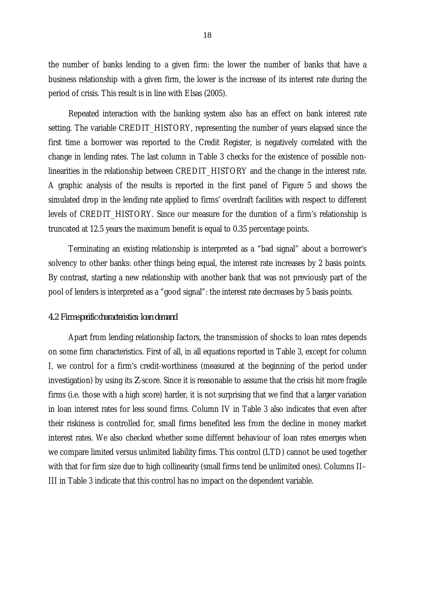the number of banks lending to a given firm: the lower the number of banks that have a business relationship with a given firm, the lower is the increase of its interest rate during the period of crisis. This result is in line with Elsas (2005).

Repeated interaction with the banking system also has an effect on bank interest rate setting. The variable CREDIT\_HISTORY, representing the number of years elapsed since the first time a borrower was reported to the Credit Register, is negatively correlated with the change in lending rates. The last column in Table 3 checks for the existence of possible nonlinearities in the relationship between CREDIT\_HISTORY and the change in the interest rate. A graphic analysis of the results is reported in the first panel of Figure 5 and shows the simulated drop in the lending rate applied to firms' overdraft facilities with respect to different levels of CREDIT\_HISTORY. Since our measure for the duration of a firm's relationship is truncated at 12.5 years the maximum benefit is equal to 0.35 percentage points.

Terminating an existing relationship is interpreted as a "bad signal" about a borrower's solvency to other banks: other things being equal, the interest rate increases by 2 basis points. By contrast, starting a new relationship with another bank that was not previously part of the pool of lenders is interpreted as a "good signal": the interest rate decreases by 5 basis points.

#### *4.2 Firm-specific characteristics: loan demand*

Apart from lending relationship factors, the transmission of shocks to loan rates depends on some firm characteristics. First of all, in all equations reported in Table 3, except for column I, we control for a firm's credit-worthiness (measured at the beginning of the period under investigation) by using its *Z*-score. Since it is reasonable to assume that the crisis hit more fragile firms (i.e. those with a high score) harder, it is not surprising that we find that a larger variation in loan interest rates for less sound firms. Column IV in Table 3 also indicates that even after their riskiness is controlled for, small firms benefited less from the decline in money market interest rates. We also checked whether some different behaviour of loan rates emerges when we compare limited versus unlimited liability firms. This control (LTD) cannot be used together with that for firm size due to high collinearity (small firms tend be unlimited ones). Columns II-III in Table 3 indicate that this control has no impact on the dependent variable.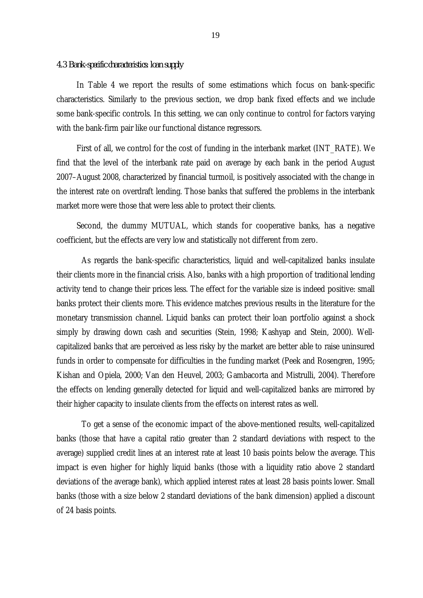#### *4.3 Bank-specific characteristics: loan supply*

In Table 4 we report the results of some estimations which focus on bank-specific characteristics. Similarly to the previous section, we drop bank fixed effects and we include some bank-specific controls. In this setting, we can only continue to control for factors varying with the bank-firm pair like our functional distance regressors.

First of all, we control for the cost of funding in the interbank market (INT\_RATE). We find that the level of the interbank rate paid on average by each bank in the period August 2007–August 2008, characterized by financial turmoil, is positively associated with the change in the interest rate on overdraft lending. Those banks that suffered the problems in the interbank market more were those that were less able to protect their clients.

Second, the dummy MUTUAL, which stands for cooperative banks, has a negative coefficient, but the effects are very low and statistically not different from zero.

As regards the bank-specific characteristics, liquid and well-capitalized banks insulate their clients more in the financial crisis. Also, banks with a high proportion of traditional lending activity tend to change their prices less. The effect for the variable size is indeed positive: small banks protect their clients more. This evidence matches previous results in the literature for the monetary transmission channel. Liquid banks can protect their loan portfolio against a shock simply by drawing down cash and securities (Stein, 1998; Kashyap and Stein, 2000). Wellcapitalized banks that are perceived as less risky by the market are better able to raise uninsured funds in order to compensate for difficulties in the funding market (Peek and Rosengren, 1995; Kishan and Opiela, 2000; Van den Heuvel, 2003; Gambacorta and Mistrulli, 2004). Therefore the effects on lending generally detected for liquid and well-capitalized banks are mirrored by their higher capacity to insulate clients from the effects on interest rates as well.

To get a sense of the economic impact of the above-mentioned results, well-capitalized banks (those that have a capital ratio greater than 2 standard deviations with respect to the average) supplied credit lines at an interest rate at least 10 basis points below the average. This impact is even higher for highly liquid banks (those with a liquidity ratio above 2 standard deviations of the average bank), which applied interest rates at least 28 basis points lower. Small banks (those with a size below 2 standard deviations of the bank dimension) applied a discount of 24 basis points.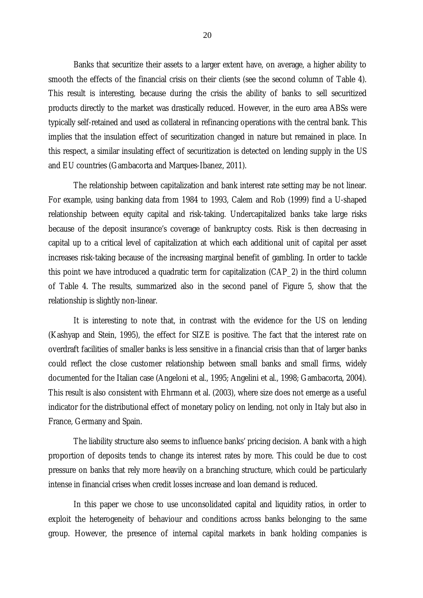Banks that securitize their assets to a larger extent have, on average, a higher ability to smooth the effects of the financial crisis on their clients (see the second column of Table 4). This result is interesting, because during the crisis the ability of banks to sell securitized products directly to the market was drastically reduced. However, in the euro area ABSs were typically self-retained and used as collateral in refinancing operations with the central bank. This implies that the insulation effect of securitization changed in nature but remained in place. In this respect, a similar insulating effect of securitization is detected on lending supply in the US and EU countries (Gambacorta and Marques-Ibanez, 2011).

The relationship between capitalization and bank interest rate setting may be not linear. For example, using banking data from 1984 to 1993, Calem and Rob (1999) find a U-shaped relationship between equity capital and risk-taking. Undercapitalized banks take large risks because of the deposit insurance's coverage of bankruptcy costs. Risk is then decreasing in capital up to a critical level of capitalization at which each additional unit of capital per asset increases risk-taking because of the increasing marginal benefit of gambling. In order to tackle this point we have introduced a quadratic term for capitalization (CAP\_2) in the third column of Table 4. The results, summarized also in the second panel of Figure 5, show that the relationship is slightly non-linear.

It is interesting to note that, in contrast with the evidence for the US on lending (Kashyap and Stein, 1995), the effect for SIZE is positive. The fact that the interest rate on overdraft facilities of smaller banks is less sensitive in a financial crisis than that of larger banks could reflect the close customer relationship between small banks and small firms, widely documented for the Italian case (Angeloni et al., 1995; Angelini et al., 1998; Gambacorta, 2004). This result is also consistent with Ehrmann et al. (2003), where size does not emerge as a useful indicator for the distributional effect of monetary policy on lending, not only in Italy but also in France, Germany and Spain.

The liability structure also seems to influence banks' pricing decision. A bank with a high proportion of deposits tends to change its interest rates by more. This could be due to cost pressure on banks that rely more heavily on a branching structure, which could be particularly intense in financial crises when credit losses increase and loan demand is reduced.

In this paper we chose to use unconsolidated capital and liquidity ratios, in order to exploit the heterogeneity of behaviour and conditions across banks belonging to the same group. However, the presence of internal capital markets in bank holding companies is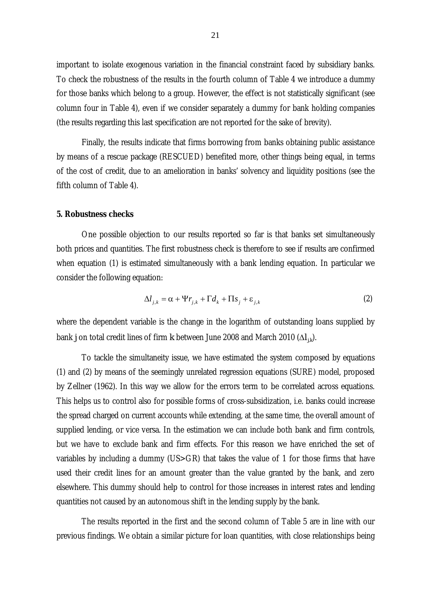important to isolate exogenous variation in the financial constraint faced by subsidiary banks. To check the robustness of the results in the fourth column of Table 4 we introduce a dummy for those banks which belong to a group. However, the effect is not statistically significant (see column four in Table 4), even if we consider separately a dummy for bank holding companies (the results regarding this last specification are not reported for the sake of brevity).

Finally, the results indicate that firms borrowing from banks obtaining public assistance by means of a rescue package (RESCUED) benefited more, other things being equal, in terms of the cost of credit, due to an amelioration in banks' solvency and liquidity positions (see the fifth column of Table 4).

#### **5. Robustness checks**

One possible objection to our results reported so far is that banks set simultaneously both prices and quantities. The first robustness check is therefore to see if results are confirmed when equation (1) is estimated simultaneously with a bank lending equation. In particular we consider the following equation:

$$
\Delta l_{j,k} = \alpha + \Psi r_{j,k} + \Gamma d_k + \Pi s_j + \varepsilon_{j,k}
$$
\n(2)

where the dependent variable is the change in the logarithm of outstanding loans supplied by bank *j* on total credit lines of firm *k* between June 2008 and March 2010 ( $\Delta l_{ik}$ ).

To tackle the simultaneity issue, we have estimated the system composed by equations (1) and (2) by means of the seemingly unrelated regression equations (SURE) model, proposed by [Zellner](http://en.wikipedia.org/wiki/Arnold_Zellner) [\(1962\).](http://en.wikipedia.org/wiki/Seemingly_unrelated_regressions#CITEREF_Zellner_1962#CITEREF_Zellner_1962) In this way we allow for the errors term to be correlated across equations. This helps us to control also for possible forms of cross-subsidization, i.e. banks could increase the spread charged on current accounts while extending, at the same time, the overall amount of supplied lending, or vice versa. In the estimation we can include both bank and firm controls, but we have to exclude bank and firm effects. For this reason we have enriched the set of variables by including a dummy (US>GR) that takes the value of 1 for those firms that have used their credit lines for an amount greater than the value granted by the bank, and zero elsewhere. This dummy should help to control for those increases in interest rates and lending quantities not caused by an autonomous shift in the lending supply by the bank.

The results reported in the first and the second column of Table 5 are in line with our previous findings. We obtain a similar picture for loan quantities, with close relationships being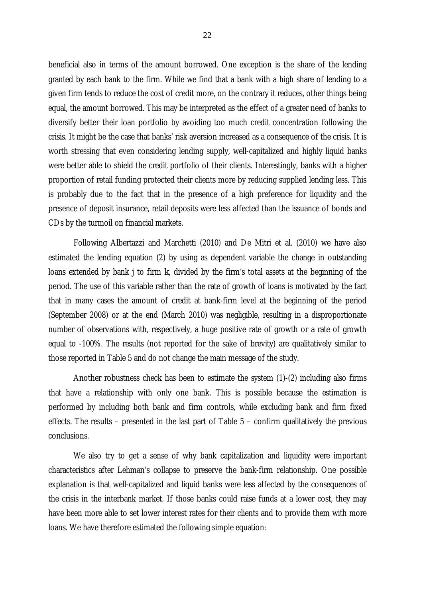beneficial also in terms of the amount borrowed. One exception is the share of the lending granted by each bank to the firm. While we find that a bank with a high share of lending to a given firm tends to reduce the cost of credit more, on the contrary it reduces, other things being equal, the amount borrowed. This may be interpreted as the effect of a greater need of banks to diversify better their loan portfolio by avoiding too much credit concentration following the crisis. It might be the case that banks' risk aversion increased as a consequence of the crisis. It is worth stressing that even considering lending supply, well-capitalized and highly liquid banks were better able to shield the credit portfolio of their clients. Interestingly, banks with a higher proportion of retail funding protected their clients more by reducing supplied lending less. This is probably due to the fact that in the presence of a high preference for liquidity and the presence of deposit insurance, retail deposits were less affected than the issuance of bonds and CDs by the turmoil on financial markets.

Following Albertazzi and Marchetti (2010) and De Mitri et al. (2010) we have also estimated the lending equation (2) by using as dependent variable the change in outstanding loans extended by bank j to firm *k*, divided by the firm's total assets at the beginning of the period. The use of this variable rather than the rate of growth of loans is motivated by the fact that in many cases the amount of credit at bank-firm level at the beginning of the period (September 2008) or at the end (March 2010) was negligible, resulting in a disproportionate number of observations with, respectively, a huge positive rate of growth or a rate of growth equal to -100%. The results (not reported for the sake of brevity) are qualitatively similar to those reported in Table 5 and do not change the main message of the study.

Another robustness check has been to estimate the system (1)-(2) including also firms that have a relationship with only one bank. This is possible because the estimation is performed by including both bank and firm controls, while excluding bank and firm fixed effects. The results – presented in the last part of Table 5 – confirm qualitatively the previous conclusions.

We also try to get a sense of why bank capitalization and liquidity were important characteristics after Lehman's collapse to preserve the bank-firm relationship. One possible explanation is that well-capitalized and liquid banks were less affected by the consequences of the crisis in the interbank market. If those banks could raise funds at a lower cost, they may have been more able to set lower interest rates for their clients and to provide them with more loans. We have therefore estimated the following simple equation: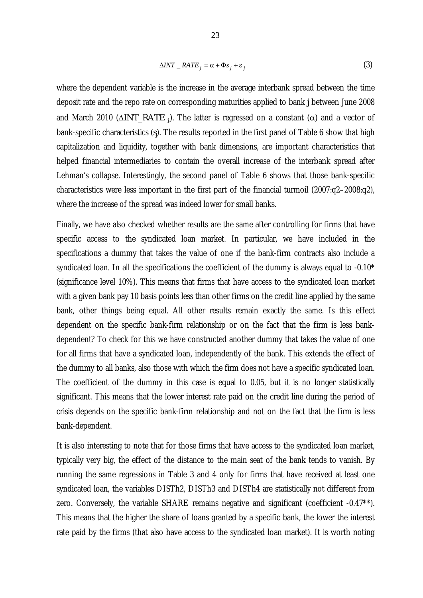$$
\Delta INT \_\, RATE_j = \alpha + \Phi s_j + \varepsilon_j \tag{3}
$$

where the dependent variable is the increase in the average interbank spread between the time deposit rate and the repo rate on corresponding maturities applied to bank *j* between June 2008 and March 2010 (∆*INT\_RATE <sup>j</sup>*, ). The latter is regressed on a constant (α) and a vector of bank-specific characteristics (*sj* ). The results reported in the first panel of Table 6 show that high capitalization and liquidity, together with bank dimensions, are important characteristics that helped financial intermediaries to contain the overall increase of the interbank spread after Lehman's collapse. Interestingly, the second panel of Table 6 shows that those bank-specific characteristics were less important in the first part of the financial turmoil (2007:q2–2008:q2), where the increase of the spread was indeed lower for small banks.

Finally, we have also checked whether results are the same after controlling for firms that have specific access to the syndicated loan market. In particular, we have included in the specifications a dummy that takes the value of one if the bank-firm contracts also include a syndicated loan. In all the specifications the coefficient of the dummy is always equal to -0.10\* (significance level 10%). This means that firms that have access to the syndicated loan market with a given bank pay 10 basis points less than other firms on the credit line applied by the same bank, other things being equal. All other results remain exactly the same. Is this effect dependent on the specific bank-firm relationship or on the fact that the firm is less bankdependent? To check for this we have constructed another dummy that takes the value of one for all firms that have a syndicated loan, independently of the bank. This extends the effect of the dummy to all banks, also those with which the firm does not have a specific syndicated loan. The coefficient of the dummy in this case is equal to 0.05, but it is no longer statistically significant. This means that the lower interest rate paid on the credit line during the period of crisis depends on the specific bank-firm relationship and not on the fact that the firm is less bank-dependent.

It is also interesting to note that for those firms that have access to the syndicated loan market, typically very big, the effect of the distance to the main seat of the bank tends to vanish. By running the same regressions in Table 3 and 4 only for firms that have received at least one syndicated loan, the variables DISTh2, DISTh3 and DISTh4 are statistically not different from zero. Conversely, the variable SHARE remains negative and significant (coefficient -0.47\*\*). This means that the higher the share of loans granted by a specific bank, the lower the interest rate paid by the firms (that also have access to the syndicated loan market). It is worth noting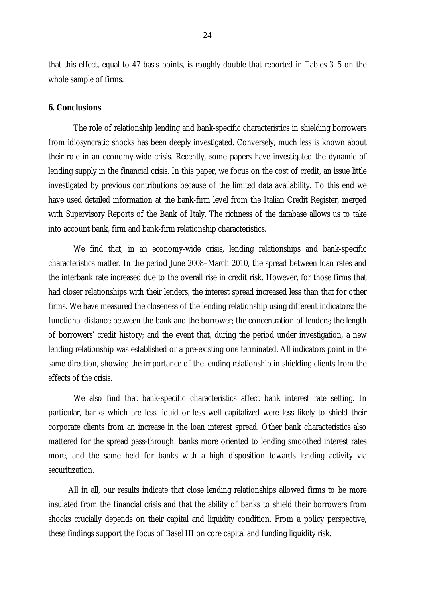that this effect, equal to 47 basis points, is roughly double that reported in Tables 3–5 on the whole sample of firms.

#### **6. Conclusions**

The role of relationship lending and bank-specific characteristics in shielding borrowers from idiosyncratic shocks has been deeply investigated. Conversely, much less is known about their role in an economy-wide crisis. Recently, some papers have investigated the dynamic of lending supply in the financial crisis. In this paper, we focus on the cost of credit, an issue little investigated by previous contributions because of the limited data availability. To this end we have used detailed information at the bank-firm level from the Italian Credit Register, merged with Supervisory Reports of the Bank of Italy. The richness of the database allows us to take into account bank, firm and bank-firm relationship characteristics.

We find that, in an economy-wide crisis, lending relationships and bank-specific characteristics matter. In the period June 2008–March 2010, the spread between loan rates and the interbank rate increased due to the overall rise in credit risk. However, for those firms that had closer relationships with their lenders, the interest spread increased less than that for other firms. We have measured the closeness of the lending relationship using different indicators: the functional distance between the bank and the borrower; the concentration of lenders; the length of borrowers' credit history; and the event that, during the period under investigation, a new lending relationship was established or a pre-existing one terminated. All indicators point in the same direction, showing the importance of the lending relationship in shielding clients from the effects of the crisis.

We also find that bank-specific characteristics affect bank interest rate setting. In particular, banks which are less liquid or less well capitalized were less likely to shield their corporate clients from an increase in the loan interest spread. Other bank characteristics also mattered for the spread pass-through: banks more oriented to lending smoothed interest rates more, and the same held for banks with a high disposition towards lending activity via securitization.

All in all, our results indicate that close lending relationships allowed firms to be more insulated from the financial crisis and that the ability of banks to shield their borrowers from shocks crucially depends on their capital and liquidity condition. From a policy perspective, these findings support the focus of Basel III on core capital and funding liquidity risk.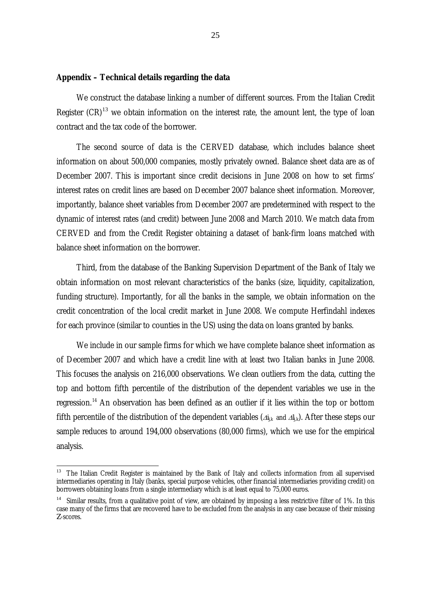#### **Appendix – Technical details regarding the data**

We construct the database linking a number of different sources. From the Italian Credit Register  $(CR)^{13}$  $(CR)^{13}$  $(CR)^{13}$  we obtain information on the interest rate, the amount lent, the type of loan contract and the tax code of the borrower.

The second source of data is the CERVED database, which includes balance sheet information on about 500,000 companies, mostly privately owned. Balance sheet data are as of December 2007. This is important since credit decisions in June 2008 on how to set firms' interest rates on credit lines are based on December 2007 balance sheet information. Moreover, importantly, balance sheet variables from December 2007 are predetermined with respect to the dynamic of interest rates (and credit) between June 2008 and March 2010. We match data from CERVED and from the Credit Register obtaining a dataset of bank-firm loans matched with balance sheet information on the borrower.

Third, from the database of the Banking Supervision Department of the Bank of Italy we obtain information on most relevant characteristics of the banks (size, liquidity, capitalization, funding structure). Importantly, for all the banks in the sample, we obtain information on the credit concentration of the local credit market in June 2008. We compute Herfindahl indexes for each province (similar to counties in the US) using the data on loans granted by banks.

We include in our sample firms for which we have complete balance sheet information as of December 2007 and which have a credit line with at least two Italian banks in June 2008. This focuses the analysis on 216,000 observations. We clean outliers from the data, cutting the top and bottom fifth percentile of the distribution of the dependent variables we use in the regression.<sup>[14](#page-26-1)</sup> An observation has been defined as an outlier if it lies within the top or bottom fifth percentile of the distribution of the dependent variables ( $\Delta i_{ik}$  and  $\Delta l_{ik}$ ). After these steps our sample reduces to around 194,000 observations (80,000 firms), which we use for the empirical analysis.

<span id="page-26-0"></span><sup>&</sup>lt;sup>13</sup> The Italian Credit Register is maintained by the Bank of Italy and collects information from all supervised intermediaries operating in Italy (banks, special purpose vehicles, other financial intermediaries providing credit) on borrowers obtaining loans from a single intermediary which is at least equal to 75,000 euros.

<span id="page-26-1"></span><sup>&</sup>lt;sup>14</sup> Similar results, from a qualitative point of view, are obtained by imposing a less restrictive filter of 1%. In this case many of the firms that are recovered have to be excluded from the analysis in any case because of their missing *Z*-scores.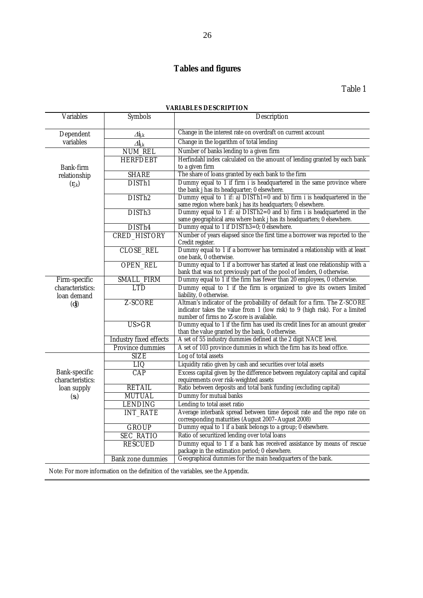## **Tables and figures**

#### **VARIABLES DESCRIPTION**

| Variables                         | Symbols                               | Description                                                                                                                                        |  |  |
|-----------------------------------|---------------------------------------|----------------------------------------------------------------------------------------------------------------------------------------------------|--|--|
| Dependent                         | $\varDelta i_{\textrm{i},\textrm{k}}$ | Change in the interest rate on overdraft on current account                                                                                        |  |  |
| variables                         | $\Delta l_{j,k}$                      | Change in the logarithm of total lending                                                                                                           |  |  |
|                                   | <b>NUM REL</b>                        | Number of banks lending to a given firm                                                                                                            |  |  |
|                                   | <b>HERFDEBT</b>                       | Herfindahl index calculated on the amount of lending granted by each bank                                                                          |  |  |
| Bank-firm                         |                                       | to a given firm                                                                                                                                    |  |  |
| relationship                      | <b>SHARE</b>                          | The share of loans granted by each bank to the firm                                                                                                |  |  |
| $(r_{j,k})$                       | DISTh1                                | Dummy equal to 1 if firm i is headquartered in the same province where<br>the bank j has its headquarter; 0 elsewhere.                             |  |  |
|                                   | DISTh <sub>2</sub>                    | Dummy equal to 1 if: a) $DISTh1=0$ and b) firm i is headquartered in the                                                                           |  |  |
|                                   |                                       | same region where bank j has its headquarters; 0 elsewhere.                                                                                        |  |  |
|                                   | DISTh <sub>3</sub>                    | Dummy equal to 1 if: a) $DISTh2=0$ and b) firm i is headquartered in the<br>same geographical area where bank j has its headquarters; 0 elsewhere. |  |  |
|                                   | DISTh4                                | Dummy equal to 1 if DISTh3=0; 0 elsewhere.                                                                                                         |  |  |
|                                   | <b>CRED_HISTORY</b>                   | Number of years elapsed since the first time a borrower was reported to the                                                                        |  |  |
|                                   |                                       | Credit register.                                                                                                                                   |  |  |
|                                   | <b>CLOSE REL</b>                      | Dummy equal to 1 if a borrower has terminated a relationship with at least                                                                         |  |  |
|                                   |                                       | one bank, 0 otherwise.                                                                                                                             |  |  |
|                                   | <b>OPEN_REL</b>                       | Dummy equal to 1 if a borrower has started at least one relationship with a                                                                        |  |  |
|                                   | SMALL_FIRM                            | bank that was not previously part of the pool of lenders, 0 otherwise.<br>Dummy equal to 1 if the firm has fewer than 20 employees, 0 otherwise.   |  |  |
| Firm-specific<br>characteristics: | <b>LTD</b>                            | Dummy equal to 1 if the firm is organized to give its owners limited                                                                               |  |  |
| loan demand                       |                                       | liability, 0 otherwise.                                                                                                                            |  |  |
| (dj)                              | Z-SCORE                               | Altman's indicator of the probability of default for a firm. The Z-SCORE                                                                           |  |  |
|                                   |                                       | indicator takes the value from 1 (low risk) to 9 (high risk). For a limited                                                                        |  |  |
|                                   |                                       | number of firms no Z-score is available.                                                                                                           |  |  |
|                                   | US > GR                               | Dummy equal to 1 if the firm has used its credit lines for an amount greater<br>than the value granted by the bank, 0 otherwise.                   |  |  |
|                                   | Industry fixed effects                | A set of 55 industry dummies defined at the 2 digit NACE level.                                                                                    |  |  |
|                                   | Province dummies                      | A set of 103 province dummies in which the firm has its head office.                                                                               |  |  |
|                                   | <b>SIZE</b>                           | Log of total assets                                                                                                                                |  |  |
|                                   | LIQ                                   | Liquidity ratio given by cash and securities over total assets                                                                                     |  |  |
| Bank-specific<br>characteristics: | CAP                                   | Excess capital given by the difference between regulatory capital and capital<br>requirements over risk-weighted assets                            |  |  |
| loan supply                       | <b>RETAIL</b>                         | Ratio between deposits and total bank funding (excluding capital)                                                                                  |  |  |
| $(s_k)$                           | <b>MUTUAL</b>                         | Dummy for mutual banks                                                                                                                             |  |  |
|                                   | <b>LENDING</b>                        | Lending to total asset ratio                                                                                                                       |  |  |
|                                   | <b>INT_RATE</b>                       | Average interbank spread between time deposit rate and the repo rate on                                                                            |  |  |
|                                   |                                       | corresponding maturities (August 2007-August 2008)                                                                                                 |  |  |
|                                   | <b>GROUP</b>                          | Dummy equal to 1 if a bank belongs to a group; 0 elsewhere.                                                                                        |  |  |
|                                   | <b>SEC_RATIO</b>                      | Ratio of securitized lending over total loans                                                                                                      |  |  |
|                                   | <b>RESCUED</b>                        | Dummy equal to 1 if a bank has received assistance by means of rescue                                                                              |  |  |
|                                   |                                       | package in the estimation period; 0 elsewhere.                                                                                                     |  |  |
|                                   | Bank zone dummies                     | Geographical dummies for the main headquarters of the bank.                                                                                        |  |  |

Note: For more information on the definition of the variables, see the Appendix.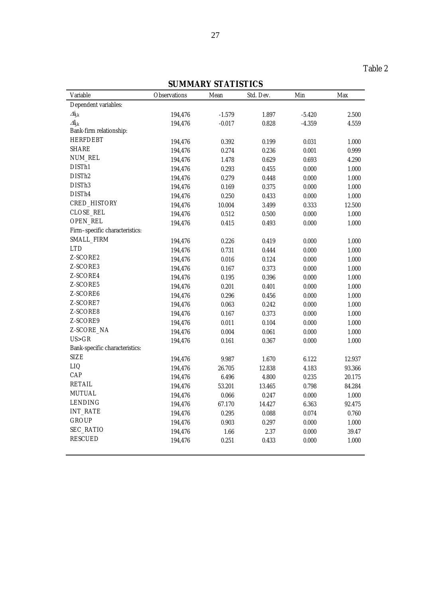## **SUMMARY STATISTICS**

|                                |              | <b>POIMMAILLE DI ALIDITOP</b> |           |          |        |
|--------------------------------|--------------|-------------------------------|-----------|----------|--------|
| Variable                       | Observations | Mean                          | Std. Dev. | Min      | Max    |
| Dependent variables:           |              |                               |           |          |        |
| $\varDelta i_{j,k}$            | 194,476      | $-1.579$                      | 1.897     | $-5.420$ | 2.500  |
| $\Delta l_{i,k}$               | 194,476      | $-0.017$                      | 0.828     | $-4.359$ | 4.559  |
| Bank-firm relationship:        |              |                               |           |          |        |
| <b>HERFDEBT</b>                | 194,476      | 0.392                         | 0.199     | 0.031    | 1.000  |
| SHARE                          | 194,476      | 0.274                         | 0.236     | 0.001    | 0.999  |
| NUM_REL                        | 194,476      | 1.478                         | 0.629     | 0.693    | 4.290  |
| DISTh1                         | 194,476      | 0.293                         | 0.455     | 0.000    | 1.000  |
| DISTh <sub>2</sub>             | 194,476      | 0.279                         | 0.448     | 0.000    | 1.000  |
| DISTh <sub>3</sub>             | 194,476      | 0.169                         | 0.375     | 0.000    | 1.000  |
| DISTh4                         | 194,476      | 0.250                         | 0.433     | 0.000    | 1.000  |
| CRED_HISTORY                   | 194,476      | 10.004                        | 3.499     | 0.333    | 12.500 |
| CLOSE_REL                      | 194,476      | 0.512                         | 0.500     | 0.000    | 1.000  |
| OPEN_REL                       | 194,476      | 0.415                         | 0.493     | 0.000    | 1.000  |
| Firm-specific characteristics: |              |                               |           |          |        |
| SMALL_FIRM                     | 194,476      | 0.226                         | 0.419     | 0.000    | 1.000  |
| <b>LTD</b>                     | 194,476      | 0.731                         | 0.444     | 0.000    | 1.000  |
| Z-SCORE2                       | 194,476      | 0.016                         | 0.124     | 0.000    | 1.000  |
| Z-SCORE3                       | 194,476      | 0.167                         | 0.373     | 0.000    | 1.000  |
| Z-SCORE4                       | 194,476      | 0.195                         | 0.396     | 0.000    | 1.000  |
| Z-SCORE5                       | 194,476      | 0.201                         | 0.401     | 0.000    | 1.000  |
| Z-SCORE6                       | 194,476      | 0.296                         | 0.456     | 0.000    | 1.000  |
| Z-SCORE7                       | 194,476      | 0.063                         | 0.242     | 0.000    | 1.000  |
| Z-SCORE8                       | 194,476      | 0.167                         | 0.373     | 0.000    | 1.000  |
| Z-SCORE9                       | 194,476      | 0.011                         | 0.104     | 0.000    | 1.000  |
| Z-SCORE_NA                     | 194,476      | 0.004                         | 0.061     | 0.000    | 1.000  |
| US > GR                        | 194,476      | 0.161                         | 0.367     | 0.000    | 1.000  |
| Bank-specific characteristics: |              |                               |           |          |        |
| SIZE                           | 194,476      | 9.987                         | 1.670     | 6.122    | 12.937 |
| LIQ                            | 194,476      | 26.705                        | 12.838    | 4.183    | 93.366 |
| CAP                            | 194,476      | 6.496                         | 4.800     | 0.235    | 20.175 |
| <b>RETAIL</b>                  | 194,476      | 53.201                        | 13.465    | 0.798    | 84.284 |
| <b>MUTUAL</b>                  | 194,476      | 0.066                         | 0.247     | 0.000    | 1.000  |
| <b>LENDING</b>                 | 194,476      | 67.170                        | 14.427    | 6.363    | 92.475 |
| <b>INT_RATE</b>                | 194,476      | 0.295                         | 0.088     | 0.074    | 0.760  |
| <b>GROUP</b>                   | 194,476      | 0.903                         | 0.297     | 0.000    | 1.000  |
| SEC_RATIO                      | 194,476      | 1.66                          | 2.37      | 0.000    | 39.47  |
|                                |              |                               |           |          |        |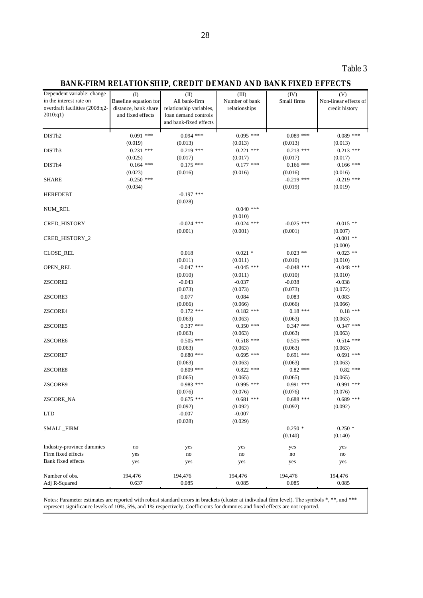## Table 3

## **BANK-FIRM RELATIONSHIP, CREDIT DEMAND AND BANK FIXED EFFECTS**

| Dependent variable: change      | (1)                    | (II)                    | (III)                  | (IV)                   | (V)                    |
|---------------------------------|------------------------|-------------------------|------------------------|------------------------|------------------------|
| in the interest rate on         | Baseline equation for  | All bank-firm           | Number of bank         | Small firms            | Non-linear effects of  |
| overdraft facilities (2008:q2-  | distance, bank share   | relationship variables, | relationships          |                        | credit history         |
| 2010:q1)                        | and fixed effects      | loan demand controls    |                        |                        |                        |
|                                 |                        | and bank-fixed effects  |                        |                        |                        |
| DISTh2                          | $0.091$ ***            | $0.094$ ***             | $0.095$ ***            | $0.089$ ***            | $0.089$ ***            |
|                                 |                        |                         |                        |                        |                        |
| DISTh <sub>3</sub>              | (0.019)<br>$0.231$ *** | (0.013)<br>$0.219$ ***  | (0.013)<br>$0.221$ *** | (0.013)<br>$0.213$ *** | (0.013)<br>$0.213$ *** |
|                                 |                        |                         |                        |                        |                        |
|                                 | (0.025)                | (0.017)                 | (0.017)                | (0.017)                | (0.017)                |
| DISTh4                          | $0.164$ ***            | $0.175$ ***             | $0.177$ ***            | $0.166$ ***            | $0.166$ ***            |
|                                 | (0.023)                | (0.016)                 | (0.016)                | (0.016)                | (0.016)                |
| <b>SHARE</b>                    | $-0.250$ ***           |                         |                        | $-0.219$ ***           | $-0.219$ ***           |
|                                 | (0.034)                |                         |                        | (0.019)                | (0.019)                |
| <b>HERFDEBT</b>                 |                        | $-0.197$ ***            |                        |                        |                        |
|                                 |                        | (0.028)                 |                        |                        |                        |
| NUM_REL                         |                        |                         | $0.040$ ***            |                        |                        |
|                                 |                        |                         | (0.010)                |                        |                        |
| CRED_HISTORY                    |                        | $-0.024$ ***            | $-0.024$ ***           | $-0.025$ ***           | $-0.015$ **            |
|                                 |                        | (0.001)                 | (0.001)                | (0.001)                | (0.007)                |
| CRED_HISTORY_2                  |                        |                         |                        |                        | $-0.001$ **            |
|                                 |                        |                         |                        |                        | (0.000)                |
| <b>CLOSE_REL</b>                |                        | 0.018                   | $0.021$ *              | $0.023$ **             | $0.023$ **             |
|                                 |                        | (0.011)                 | (0.011)                | (0.010)                | (0.010)                |
| OPEN_REL                        |                        | $-0.047$ ***            | $-0.045$ ***           | $-0.048$ ***           | $-0.048$ ***           |
|                                 |                        | (0.010)                 | (0.011)                | (0.010)                | (0.010)                |
| ZSCORE2                         |                        | $-0.043$                | $-0.037$               | $-0.038$               | $-0.038$               |
|                                 |                        | (0.073)                 | (0.073)                | (0.073)                | (0.072)                |
| ZSCORE3                         |                        | 0.077                   | 0.084                  | 0.083                  | 0.083                  |
|                                 |                        | (0.066)                 | (0.066)                | (0.066)                | (0.066)                |
| ZSCORE4                         |                        | $0.172$ ***             | $0.182$ ***            | $0.18$ ***             | $0.18$ ***             |
|                                 |                        | (0.063)                 | (0.063)                | (0.063)                | (0.063)                |
| ZSCORE5                         |                        | $0.337$ ***             | $0.350$ ***            | $0.347$ ***            | $0.347$ ***            |
|                                 |                        | (0.063)                 | (0.063)                | (0.063)                | (0.063)                |
| ZSCORE6                         |                        | $0.505$ ***             | $0.518$ ***            | $0.515$ ***            | $0.514$ ***            |
|                                 |                        | (0.063)                 | (0.063)                | (0.063)                | (0.063)                |
| ZSCORE7                         |                        | $0.680$ ***             | $0.695$ ***            | $0.691$ ***            | $0.691$ ***            |
|                                 |                        | (0.063)                 | (0.063)                | (0.063)                | (0.063)                |
| ZSCORE8                         |                        | $0.809$ ***             | $0.822$ ***            | $0.82$ ***             | $0.82$ ***             |
|                                 |                        | (0.065)                 | (0.065)                | (0.065)                | (0.065)                |
| ZSCORE9                         |                        | $0.983$ ***             | $0.995$ ***            | $0.991$ ***            | $0.991$ ***            |
|                                 |                        | (0.076)                 | (0.076)                | (0.076)                | (0.076)                |
| ZSCORE_NA                       |                        | $0.675$ ***             | $0.681$ ***            | $0.688$ ***            | $0.689$ ***            |
|                                 |                        | (0.092)                 | (0.092)                | (0.092)                | (0.092)                |
| <b>LTD</b>                      |                        | $-0.007$                | $-0.007$               |                        |                        |
|                                 |                        | (0.028)                 | (0.029)                |                        |                        |
| SMALL_FIRM                      |                        |                         |                        | $0.250*$               | $0.250*$               |
|                                 |                        |                         |                        | (0.140)                | (0.140)                |
|                                 |                        |                         |                        |                        |                        |
| Industry-province dummies       | no                     | yes                     | yes                    | yes                    | yes                    |
| Firm fixed effects              | yes                    | $\mathop{\mathrm{no}}$  | $\mathop{\mathrm{no}}$ | no                     | $\mathop{\mathrm{no}}$ |
| Bank fixed effects              | yes                    | yes                     | yes                    | yes                    | yes                    |
|                                 |                        | 194,476                 |                        |                        |                        |
| Number of obs.<br>Adj R-Squared | 194,476<br>0.637       | 0.085                   | 194,476<br>0.085       | 194,476<br>0.085       | 194,476<br>0.085       |
|                                 |                        |                         |                        |                        |                        |

Notes: Parameter estimates are reported with robust standard errors in brackets (cluster at individual firm level). The symbols \*, \*\*, and \*\*\* represent significance levels of 10%, 5%, and 1% respectively. Coefficients for dummies and fixed effects are not reported.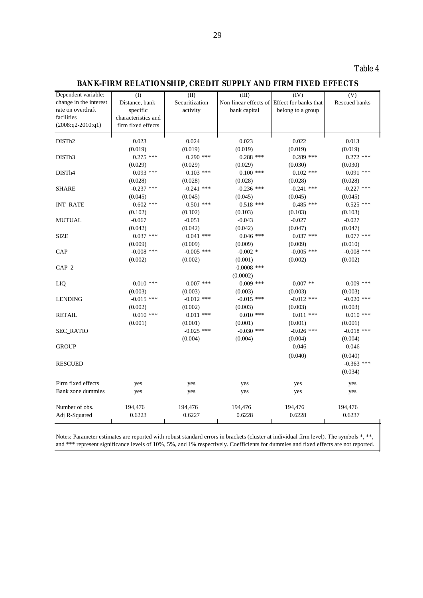**BANK-FIRM RELATIONSHIP, CREDIT SUPPLY AND FIRM FIXED EFFECTS** 

| Dependent variable:    | (1)                 | (II)           | (III)                 | (IV)                  | (V)           |
|------------------------|---------------------|----------------|-----------------------|-----------------------|---------------|
| change in the interest | Distance, bank-     | Securitization | Non-linear effects of | Effect for banks that | Rescued banks |
| rate on overdraft      | specific            | activity       | bank capital          | belong to a group     |               |
| facilities             | characteristics and |                |                       |                       |               |
| $(2008:q2-2010:q1)$    | firm fixed effects  |                |                       |                       |               |
| DIST <sub>h2</sub>     | 0.023               | 0.024          | 0.023                 | 0.022                 | 0.013         |
|                        | (0.019)             | (0.019)        | (0.019)               | (0.019)               | (0.019)       |
| DIST <sub>h</sub> 3    | $0.275$ ***         | $0.290$ ***    | $0.288$ ***           | $0.289$ ***           | $0.272$ ***   |
|                        | (0.029)             | (0.029)        | (0.029)               | (0.030)               | (0.030)       |
| DIST <sub>h4</sub>     | $0.093$ ***         | $0.103$ ***    | $0.100$ ***           | $0.102$ ***           | $0.091$ ***   |
|                        | (0.028)             | (0.028)        | (0.028)               | (0.028)               | (0.028)       |
| <b>SHARE</b>           | $-0.237$ ***        | $-0.241$ ***   | $-0.236$ ***          | $-0.241$ ***          | $-0.227$ ***  |
|                        | (0.045)             | (0.045)        | (0.045)               | (0.045)               | (0.045)       |
| <b>INT_RATE</b>        | $0.602$ ***         | $0.501$ ***    | $0.518$ ***           | $0.485$ ***           | $0.525$ ***   |
|                        | (0.102)             | (0.102)        | (0.103)               | (0.103)               | (0.103)       |
| <b>MUTUAL</b>          | $-0.067$            | $-0.051$       | $-0.043$              | $-0.027$              | $-0.027$      |
|                        | (0.042)             | (0.042)        | (0.042)               | (0.047)               | (0.047)       |
| <b>SIZE</b>            | $0.037$ ***         | $0.041$ ***    | $0.046$ ***           | $0.037$ ***           | $0.077$ ***   |
|                        | (0.009)             | (0.009)        | (0.009)               | (0.009)               | (0.010)       |
| CAP                    | $-0.008$ ***        | $-0.005$ ***   | $-0.002$ *            | $-0.005$ ***          | $-0.008$ ***  |
|                        | (0.002)             | (0.002)        | (0.001)               | (0.002)               | (0.002)       |
| $CAP_2$                |                     |                | $-0.0008$ ***         |                       |               |
|                        |                     |                | (0.0002)              |                       |               |
| LIQ                    | $-0.010$ ***        | $-0.007$ ***   | $-0.009$ ***          | $-0.007$ **           | $-0.009$ ***  |
|                        | (0.003)             | (0.003)        | (0.003)               | (0.003)               | (0.003)       |
| <b>LENDING</b>         | $-0.015$ ***        | $-0.012$ ***   | $-0.015$ ***          | $-0.012$ ***          | $-0.020$ ***  |
|                        | (0.002)             | (0.002)        | (0.003)               | (0.003)               | (0.003)       |
| <b>RETAIL</b>          | $0.010$ ***         | $0.011$ ***    | $0.010$ ***           | $0.011$ ***           | $0.010$ ***   |
|                        | (0.001)             | (0.001)        | (0.001)               | (0.001)               | (0.001)       |
| <b>SEC_RATIO</b>       |                     | $-0.025$ ***   | $-0.030$ ***          | $-0.026$ ***          | $-0.018$ ***  |
|                        |                     | (0.004)        | (0.004)               | (0.004)               | (0.004)       |
| <b>GROUP</b>           |                     |                |                       | 0.046                 | 0.046         |
|                        |                     |                |                       | (0.040)               | (0.040)       |
| <b>RESCUED</b>         |                     |                |                       |                       | $-0.363$ ***  |
|                        |                     |                |                       |                       | (0.034)       |
| Firm fixed effects     | yes                 | yes            | yes                   | yes                   | yes           |
| Bank zone dummies      | yes                 | yes            | yes                   | yes                   | yes           |
|                        |                     |                |                       |                       |               |
| Number of obs.         | 194,476             | 194,476        | 194,476               | 194,476               | 194,476       |
| Adj R-Squared          | 0.6223              | 0.6227         | 0.6228                | 0.6228                | 0.6237        |
|                        |                     |                |                       |                       |               |

Notes: Parameter estimates are reported with robust standard errors in brackets (cluster at individual firm level). The symbols \*, \*\*, and \*\*\* represent significance levels of 10%, 5%, and 1% respectively. Coefficients for dummies and fixed effects are not reported.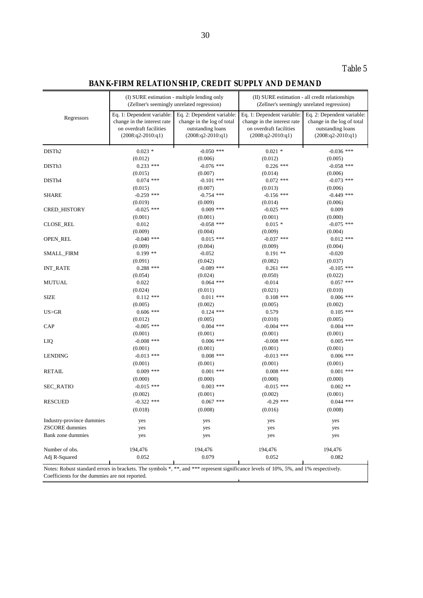Table 5

## **BANK-FIRM RELATIONSHIP, CREDIT SUPPLY AND DEMAND**

|                                                                                                                                      |                                                           | (I) SURE estimation - multiple lending only<br>(Zellner's seemingly unrelated regression) | (II) SURE estimation - all credit relationships<br>(Zellner's seemingly unrelated regression) |                                                          |  |
|--------------------------------------------------------------------------------------------------------------------------------------|-----------------------------------------------------------|-------------------------------------------------------------------------------------------|-----------------------------------------------------------------------------------------------|----------------------------------------------------------|--|
| Regressors                                                                                                                           | Eq. 1: Dependent variable:<br>change in the interest rate | Eq. 2: Dependent variable:<br>change in the log of total                                  | Eq. 1: Dependent variable:<br>change in the interest rate                                     | Eq. 2: Dependent variable:<br>change in the log of total |  |
|                                                                                                                                      | on overdraft facilities<br>$(2008:q2-2010:q1)$            | outstanding loans<br>$(2008:q2-2010:q1)$                                                  | on overdraft facilities<br>$(2008:q2-2010:q1)$                                                | outstanding loans<br>$(2008:q2-2010:q1)$                 |  |
| DIST <sub>h2</sub>                                                                                                                   | $0.023$ *                                                 | $-0.050$ ***                                                                              | $0.021$ *                                                                                     | $-0.036$ ***                                             |  |
|                                                                                                                                      | (0.012)                                                   | (0.006)                                                                                   | (0.012)                                                                                       | (0.005)                                                  |  |
| DISTh <sub>3</sub>                                                                                                                   | $0.233$ ***                                               | $-0.076$ ***                                                                              | $0.226$ ***                                                                                   | $-0.058$ ***                                             |  |
|                                                                                                                                      | (0.015)                                                   | (0.007)                                                                                   | (0.014)                                                                                       | (0.006)                                                  |  |
| DISTh4                                                                                                                               | $0.074$ ***                                               | $-0.101$ ***                                                                              | $0.072$ ***                                                                                   | $-0.073$ ***                                             |  |
|                                                                                                                                      | (0.015)                                                   | (0.007)                                                                                   | (0.013)                                                                                       | (0.006)                                                  |  |
| SHARE                                                                                                                                | $-0.259$ ***                                              | $-0.754$ ***                                                                              | $-0.156$ ***                                                                                  | $-0.449$ ***                                             |  |
|                                                                                                                                      | (0.019)                                                   | (0.009)                                                                                   | (0.014)                                                                                       | (0.006)                                                  |  |
| CRED_HISTORY                                                                                                                         | $-0.025$ ***                                              | $0.009$ ***                                                                               | $-0.025$ ***                                                                                  | 0.009                                                    |  |
|                                                                                                                                      | (0.001)                                                   | (0.001)                                                                                   | (0.001)                                                                                       | (0.000)                                                  |  |
| <b>CLOSE_REL</b>                                                                                                                     | 0.012                                                     | $-0.058$ ***                                                                              | $0.015$ *                                                                                     | $-0.075$ ***                                             |  |
|                                                                                                                                      | (0.009)                                                   | (0.004)                                                                                   | (0.009)                                                                                       | (0.004)                                                  |  |
| OPEN_REL                                                                                                                             | $-0.040$ ***                                              | $0.015$ ***                                                                               | $-0.037$ ***                                                                                  | $0.012$ ***                                              |  |
|                                                                                                                                      | (0.009)                                                   | (0.004)                                                                                   | (0.009)                                                                                       | (0.004)                                                  |  |
| SMALL_FIRM                                                                                                                           | $0.199$ **                                                | $-0.052$                                                                                  | $0.191**$                                                                                     | $-0.020$                                                 |  |
|                                                                                                                                      | (0.091)                                                   | (0.042)                                                                                   | (0.082)                                                                                       | (0.037)                                                  |  |
| <b>INT_RATE</b>                                                                                                                      | $0.288$ ***                                               | $-0.089$ ***                                                                              | $0.261$ ***                                                                                   | $-0.105$ ***                                             |  |
|                                                                                                                                      | (0.054)                                                   | (0.024)                                                                                   | (0.050)                                                                                       | (0.022)                                                  |  |
| <b>MUTUAL</b>                                                                                                                        | 0.022                                                     | $0.064$ ***                                                                               | $-0.014$                                                                                      | $0.057$ ***                                              |  |
|                                                                                                                                      | (0.024)                                                   | (0.011)                                                                                   | (0.021)                                                                                       | (0.010)                                                  |  |
| <b>SIZE</b>                                                                                                                          | $0.112$ ***                                               | $0.011$ ***                                                                               | $0.108$ ***                                                                                   | $0.006$ ***                                              |  |
|                                                                                                                                      | (0.005)                                                   | (0.002)                                                                                   | (0.005)                                                                                       | (0.002)                                                  |  |
| US>GR                                                                                                                                | $0.606$ ***                                               | $0.124$ ***                                                                               | 0.579                                                                                         | $0.105$ ***                                              |  |
|                                                                                                                                      | (0.012)                                                   | (0.005)                                                                                   | (0.010)                                                                                       | (0.005)                                                  |  |
| CAP                                                                                                                                  | $-0.005$ ***                                              | $0.004$ ***                                                                               | $-0.004$ ***                                                                                  | $0.004$ ***                                              |  |
|                                                                                                                                      | (0.001)                                                   | (0.001)                                                                                   | (0.001)                                                                                       | (0.001)                                                  |  |
| LIQ                                                                                                                                  | $-0.008$ ***                                              | $0.006$ ***                                                                               | $-0.008$ ***                                                                                  | $0.005$ ***                                              |  |
|                                                                                                                                      | (0.001)                                                   | (0.001)                                                                                   | (0.001)                                                                                       | (0.001)                                                  |  |
| <b>LENDING</b>                                                                                                                       | $-0.013$ ***                                              | $0.008$ ***                                                                               | $-0.013$ ***                                                                                  | $0.006$ ***                                              |  |
|                                                                                                                                      | (0.001)                                                   | (0.001)                                                                                   | (0.001)                                                                                       | (0.001)                                                  |  |
| <b>RETAIL</b>                                                                                                                        | $0.009$ ***                                               | $0.001$ ***                                                                               | $0.008$ ***                                                                                   | $0.001$ ***                                              |  |
|                                                                                                                                      |                                                           |                                                                                           |                                                                                               |                                                          |  |
|                                                                                                                                      | (0.000)                                                   | (0.000)                                                                                   | (0.000)                                                                                       | (0.000)                                                  |  |
| SEC_RATIO                                                                                                                            | $-0.015$ ***                                              | $0.003$ ***                                                                               | $-0.015$ ***                                                                                  | $0.002$ **                                               |  |
|                                                                                                                                      | (0.002)                                                   | (0.001)                                                                                   | (0.002)                                                                                       | (0.001)                                                  |  |
| <b>RESCUED</b>                                                                                                                       | $-0.322$ ***                                              | $0.067$ ***                                                                               | $-0.29$ ***                                                                                   | $0.044$ ***                                              |  |
|                                                                                                                                      | (0.018)                                                   | (0.008)                                                                                   | (0.016)                                                                                       | (0.008)                                                  |  |
| Industry-province dummies                                                                                                            | yes                                                       | yes                                                                                       | yes                                                                                           | yes                                                      |  |
| <b>ZSCORE</b> dummies                                                                                                                | yes                                                       | yes                                                                                       | yes                                                                                           | yes                                                      |  |
| Bank zone dummies                                                                                                                    | yes                                                       | yes                                                                                       | yes                                                                                           | yes                                                      |  |
|                                                                                                                                      |                                                           |                                                                                           |                                                                                               |                                                          |  |
| Number of obs.                                                                                                                       | 194,476                                                   | 194,476                                                                                   | 194,476                                                                                       | 194,476                                                  |  |
| Adj R-Squared                                                                                                                        | 0.052                                                     | 0.079                                                                                     | 0.052                                                                                         | 0.082                                                    |  |
| Notes: Robust standard errors in brackets. The symbols *, **, and *** represent significance levels of 10%, 5%, and 1% respectively. |                                                           |                                                                                           |                                                                                               |                                                          |  |
|                                                                                                                                      |                                                           |                                                                                           |                                                                                               |                                                          |  |

Coefficients for the dummies are not reported.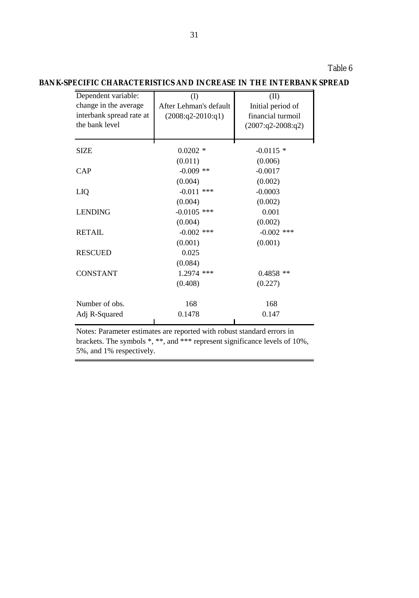Table 6

| Dependent variable:      | $\rm (I)$              | (II)                |
|--------------------------|------------------------|---------------------|
| change in the average    | After Lehman's default | Initial period of   |
| interbank spread rate at | $(2008:q2-2010:q1)$    | financial turmoil   |
| the bank level           |                        | $(2007:q2-2008:q2)$ |
| <b>SIZE</b>              | $0.0202$ *             | $-0.0115$ *         |
|                          | (0.011)                | (0.006)             |
| CAP                      | $-0.009$ **            | $-0.0017$           |
|                          | (0.004)                | (0.002)             |
| LIQ                      | $-0.011$ ***           | $-0.0003$           |
|                          | (0.004)                | (0.002)             |
| <b>LENDING</b>           | $-0.0105$ ***          | 0.001               |
|                          | (0.004)                | (0.002)             |
| <b>RETAIL</b>            | $-0.002$ ***           | $-0.002$ ***        |
|                          | (0.001)                | (0.001)             |
| <b>RESCUED</b>           | 0.025                  |                     |
|                          | (0.084)                |                     |
| <b>CONSTANT</b>          | 1.2974 ***             | $0.4858$ **         |
|                          | (0.408)                | (0.227)             |
| Number of obs.           | 168                    | 168                 |
| Adj R-Squared            | 0.1478                 | 0.147               |

**BANK-SPECIFIC CHARACTERISTICS AND INCREASE IN THE INTERBANK SPREAD**

Notes: Parameter estimates are reported with robust standard errors in brackets. The symbols \*, \*\*, and \*\*\* represent significance levels of 10%, 5%, and 1% respectively.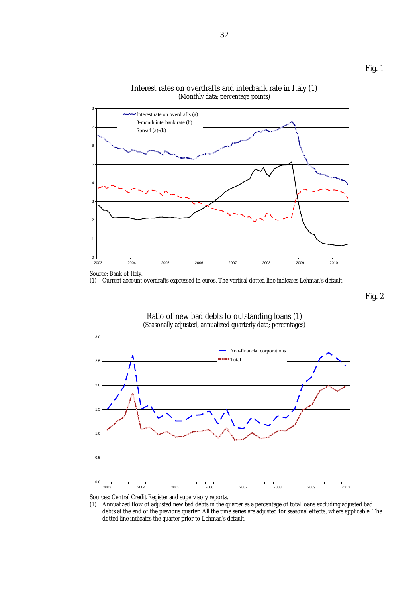

Interest rates on overdrafts and interbank rate in Italy (1) (Monthly data; percentage points)

(1) Current account overdrafts expressed in euros. The vertical dotted line indicates Lehman's default.

Fig. 2

Fig. 1



#### Ratio of new bad debts to outstanding loans (1) (Seasonally adjusted, annualized quarterly data; percentages)

Sources: Central Credit Register and supervisory reports.<br>(1) Annualized flow of adjusted new bad debts in the q Annualized flow of adjusted new bad debts in the quarter as a percentage of total loans excluding adjusted bad debts at the end of the previous quarter. All the time series are adjusted for seasonal effects, where applicable. The dotted line indicates the quarter prior to Lehman's default.

Source: Bank of Italy.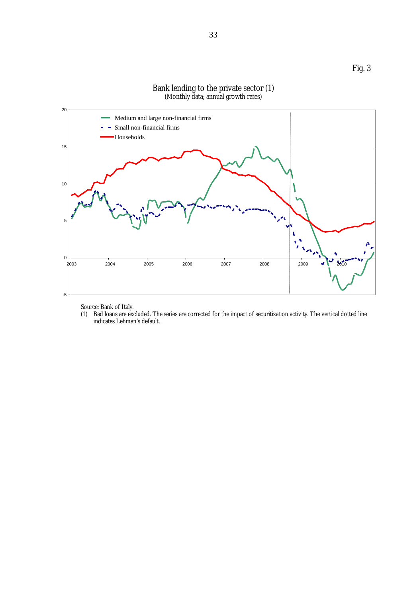

#### Bank lending to the private sector (1) (Monthly data; annual growth rates)

Source: Bank of Italy.

(1) Bad loans are excluded. The series are corrected for the impact of securitization activity. The vertical dotted line indicates Lehman's default.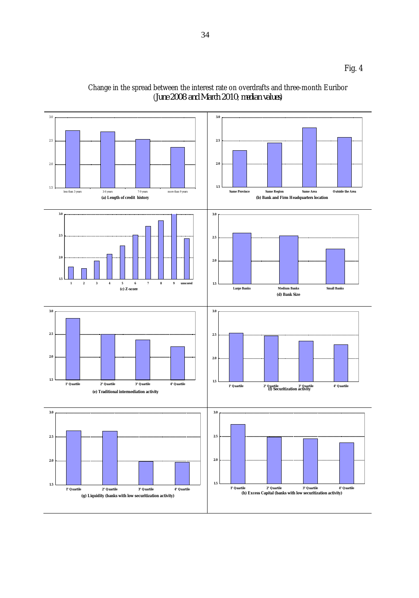

Change in the spread between the interest rate on overdrafts and three-month Euribor (*June 2008 and March 2010*; *median values*)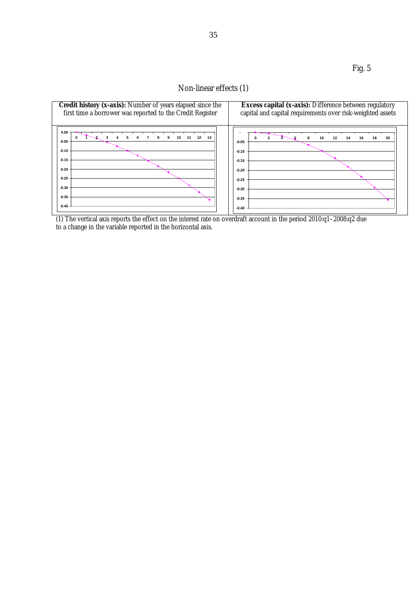Fig. 5

## Non-linear effects (1)



(1) The vertical axis reports the effect on the interest rate on overdraft account in the period 2010:q1–2008:q2 due to a change in the variable reported in the horizontal axis.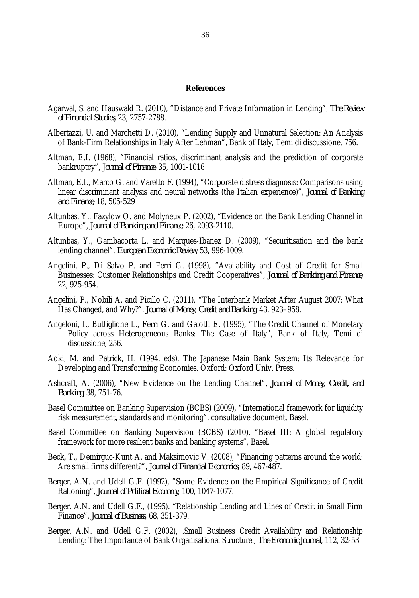#### **References**

- Agarwal, S. and Hauswald R. (2010), "Distance and Private Information in Lending", *The Review of Financial Studies*, 23, 2757-2788.
- Albertazzi, U. and Marchetti D. (2010), "Lending Supply and Unnatural Selection: An Analysis of Bank-Firm Relationships in Italy After Lehman", Bank of Italy, Temi di discussione, 756.
- Altman, E.I. (1968), "Financial ratios, discriminant analysis and the prediction of corporate bankruptcy", *Journal of Finance*, 35, 1001-1016
- Altman, E.I., Marco G. and Varetto F. (1994), "Corporate distress diagnosis: Comparisons using linear discriminant analysis and neural networks (the Italian experience)", *Journal of Banking and Finance*, 18, 505-529
- Altunbas, Y., Fazylow O. and Molyneux P. (2002), "Evidence on the Bank Lending Channel in Europe", *Journal of Banking and Finance*, 26, 2093-2110.
- Altunbas, Y., Gambacorta L. and Marques-Ibanez D. (2009), "Securitisation and the bank lending channel", *European Economic Review*, 53, 996-1009.
- Angelini, P., Di Salvo P. and Ferri G. (1998), "Availability and Cost of Credit for Small Businesses: Customer Relationships and Credit Cooperatives", *Journal of Banking and Finance*, 22, 925-954.
- Angelini, P., Nobili A. and Picillo C. (2011), "The Interbank Market After August 2007: What Has Changed, and Why?", *Journal of Money, Credit and Banking*, 43, 923–958.
- Angeloni, I., Buttiglione L., Ferri G. and Gaiotti E. (1995), "The Credit Channel of Monetary Policy across Heterogeneous Banks: The Case of Italy", Bank of Italy, Temi di discussione, 256.
- Aoki, M. and Patrick, H. (1994, eds), The Japanese Main Bank System: Its Relevance for Developing and Transforming Economies. Oxford: Oxford Univ. Press.
- Ashcraft, A. (2006), "New Evidence on the Lending Channel", *Journal of Money, Credit, and Banking*, 38, 751-76.
- Basel Committee on Banking Supervision (BCBS) (2009), "International framework for liquidity risk measurement, standards and monitoring", consultative document, Basel.
- Basel Committee on Banking Supervision (BCBS) (2010), "Basel III: A global regulatory framework for more resilient banks and banking systems", Basel.
- Beck, T., Demirguc-Kunt A. and Maksimovic V. (2008), "Financing patterns around the world: Are small firms different?", *Journal of Financial Economics*, 89, 467-487.
- Berger, A.N. and Udell G.F. (1992), "Some Evidence on the Empirical Significance of Credit Rationing", *Journal of Political Economy*, 100, 1047-1077.
- Berger, A.N. and Udell G.F., (1995). "Relationship Lending and Lines of Credit in Small Firm Finance", *Journal of Business*, 68, 351-379.
- Berger, A.N. and Udell G.F. (2002), .Small Business Credit Availability and Relationship Lending: The Importance of Bank Organisational Structure., *The Economic Journal*, 112, 32-53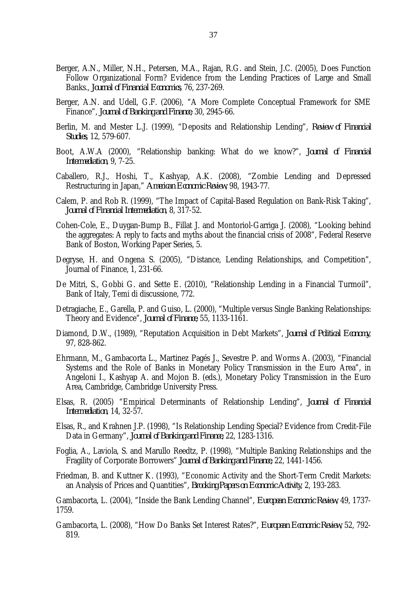- Berger, A.N., Miller, N.H., Petersen, M.A., Rajan, R.G. and Stein, J.C. (2005), Does Function Follow Organizational Form? Evidence from the Lending Practices of Large and Small Banks., *Journal of Financial Economics*, 76, 237-269.
- Berger, A.N. and Udell, G.F. (2006), "A More Complete Conceptual Framework for SME Finance", *Journal of Banking and Finance*, 30, 2945-66.
- Berlin, M. and Mester L.J. (1999), "Deposits and Relationship Lending", *Review of Financial Studies*, 12, 579-607.
- Boot, A.W.A (2000), "Relationship banking: What do we know?", *Journal of Financial Intermediation*, 9, 7-25.
- Caballero, R.J., Hoshi, T., Kashyap, A.K. (2008), "Zombie Lending and Depressed Restructuring in Japan," *American Economic Review*, 98, 1943-77.
- Calem, P. and Rob R. (1999), "The Impact of Capital-Based Regulation on Bank-Risk Taking", *Journal of Financial Intermediation*, 8, 317-52.
- Cohen-Cole, E., Duygan-Bump B., Fillat J. and Montoriol-Garriga J. (2008), "Looking behind the aggregates: A reply to facts and myths about the financial crisis of 2008", Federal Reserve Bank of Boston, Working Paper Series, 5.
- Degryse, H. and Ongena S. (2005), "Distance, Lending Relationships, and Competition", Journal of Finance, 1, 231-66.
- De Mitri, S., Gobbi G. and Sette E. (2010), "Relationship Lending in a Financial Turmoil", Bank of Italy, Temi di discussione, 772.
- Detragiache, E., Garella, P. and Guiso, L. (2000), "Multiple versus Single Banking Relationships: Theory and Evidence", *Journal of Finance*, 55, 1133-1161.
- Diamond, D.W., (1989), "Reputation Acquisition in Debt Markets", *Journal of Political Economy*, 97, 828-862.
- Ehrmann, M., Gambacorta L., Martinez Pagés J., Sevestre P. and Worms A. (2003), "Financial Systems and the Role of Banks in Monetary Policy Transmission in the Euro Area", in Angeloni I., Kashyap A. and Mojon B. (eds.), Monetary Policy Transmission in the Euro Area, Cambridge, Cambridge University Press.
- Elsas, R. (2005) "Empirical Determinants of Relationship Lending", *Journal of Financial Intermediation*, 14, 32-57.
- Elsas, R., and Krahnen J.P. (1998), "Is Relationship Lending Special? Evidence from Credit-File Data in Germany", *Journal of Banking and Finance,* 22, 1283-1316.
- Foglia, A., Laviola, S. and Marullo Reedtz, P. (1998), "Multiple Banking Relationships and the Fragility of Corporate Borrowers" *Journal of Banking and Finance,* 22, 1441-1456.
- Friedman, B. and Kuttner K. (1993), "Economic Activity and the Short-Term Credit Markets: an Analysis of Prices and Quantities", *Brooking Papers on Economic Activity*, 2, 193-283.
- Gambacorta, L. (2004), "Inside the Bank Lending Channel", *European Economic Review*, 49, 1737- 1759.
- Gambacorta, L. (2008), "How Do Banks Set Interest Rates?", *European Economic Review*, 52, 792- 819.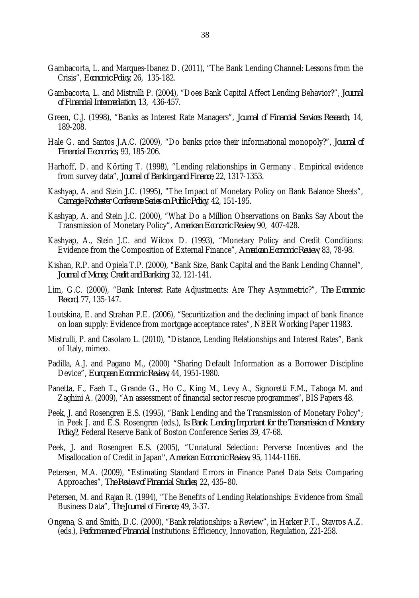- Gambacorta, L. and Marques-Ibanez D. (2011), "The Bank Lending Channel: Lessons from the Crisis", *Economic Policy*, 26, 135-182.
- Gambacorta, L. and Mistrulli P. (2004), "Does Bank Capital Affect Lending Behavior?", *Journal of Financial Intermediation*, 13, 436-457.
- Green, C.J. (1998), "Banks as Interest Rate Managers", *Journal of Financial Services Research*, 14, 189-208.
- Hale G. and Santos J.A.C. (2009), "Do banks price their informational monopoly?", *Journal of Financial Economics*, 93, 185-206.
- Harhoff, D. and Körting T. (1998), "Lending relationships in Germany . Empirical evidence from survey data", *Journal of Banking and Finance*, 22, 1317-1353.
- Kashyap, A. and Stein J.C. (1995), "The Impact of Monetary Policy on Bank Balance Sheets", *Carnegie Rochester Conference Series on Public Policy*, 42, 151-195.
- Kashyap, A. and Stein J.C. (2000), "What Do a Million Observations on Banks Say About the Transmission of Monetary Policy", *American Economic Review*, 90, 407-428.
- Kashyap, A., Stein J.C. and Wilcox D. (1993), "Monetary Policy and Credit Conditions: Evidence from the Composition of External Finance", *American Economic Review*, 83, 78-98.
- Kishan, R.P. and Opiela T.P. (2000), "Bank Size, Bank Capital and the Bank Lending Channel", *Journal of Money, Credit and Banking*, 32, 121-141.
- Lim, G.C. (2000), "Bank Interest Rate Adjustments: Are They Asymmetric?", *The Economic Record*, 77, 135-147.
- Loutskina, E. and Strahan P.E. (2006), "Securitization and the declining impact of bank finance on loan supply: Evidence from mortgage acceptance rates", NBER Working Paper 11983.
- Mistrulli, P. and Casolaro L. (2010), "Distance, Lending Relationships and Interest Rates", Bank of Italy, mimeo.
- Padilla, A.J. and Pagano M., (2000) "Sharing Default Information as a Borrower Discipline Device", *European Economic Review*, 44, 1951-1980.
- Panetta, F., Faeh T., Grande G., Ho C., King M., Levy A., Signoretti F.M., Taboga M. and Zaghini A. (2009), "An assessment of financial sector rescue programmes", BIS Papers 48.
- Peek, J. and Rosengren E.S. (1995), "Bank Lending and the Transmission of Monetary Policy"; in Peek J. and E.S. Rosengren (eds.), *Is Bank Lending Important for the Transmission of Monetary Policy?*, Federal Reserve Bank of Boston Conference Series 39, 47-68.
- Peek, J. and Rosengren E.S. (2005), ["Unnatural Selection: Perverse Incentives and the](http://ideas.repec.org/a/aea/aecrev/v95y2005i4p1144-1166.html)  [Misallocation of Credit in Japan](http://ideas.repec.org/a/aea/aecrev/v95y2005i4p1144-1166.html)", *[American Economic Review](http://ideas.repec.org/s/aea/aecrev.html)*, 95, 1144-1166.
- Petersen, M.A. (2009), "Estimating Standard Errors in Finance Panel Data Sets: Comparing Approaches", *The Review of Financial Studies*, 22, 435–80.
- Petersen, M. and Rajan R. (1994), "The Benefits of Lending Relationships: Evidence from Small Business Data", *The Journal of Finance*, 49, 3-37.
- Ongena, S. and Smith, D.C. (2000), "Bank relationships: a Review", in Harker P.T., Stavros A.Z. (eds.), *Performance of Financial* Institutions: Efficiency, Innovation, Regulation, 221-258.